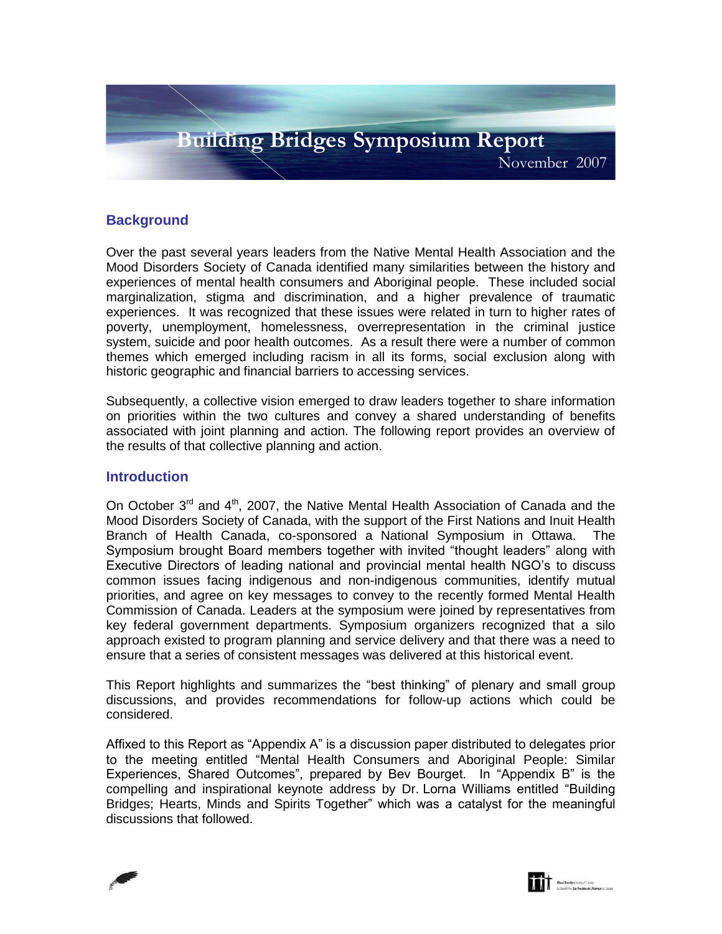

## **Background**

Over the past several years leaders from the Native Mental Health Association and the Mood Disorders Society of Canada identified many similarities between the history and experiences of mental health consumers and Aboriginal people. These included social marginalization, stigma and discrimination, and a higher prevalence of traumatic experiences. It was recognized that these issues were related in turn to higher rates of poverty, unemployment, homelessness, overrepresentation in the criminal justice system, suicide and poor health outcomes. As a result there were a number of common themes which emerged including racism in all its forms, social exclusion along with historic geographic and financial barriers to accessing services.

Subsequently, a collective vision emerged to draw leaders together to share information on priorities within the two cultures and convey a shared understanding of benefits associated with joint planning and action. The following report provides an overview of the results of that collective planning and action.

## **Introduction**

On October  $3^{rd}$  and  $4^{th}$ , 2007, the Native Mental Health Association of Canada and the Mood Disorders Society of Canada, with the support of the First Nations and Inuit Health Branch of Health Canada, co-sponsored a National Symposium in Ottawa. The Symposium brought Board members together with invited "thought leaders" along with Executive Directors of leading national and provincial mental health NGO"s to discuss common issues facing indigenous and non-indigenous communities, identify mutual priorities, and agree on key messages to convey to the recently formed Mental Health Commission of Canada. Leaders at the symposium were joined by representatives from key federal government departments. Symposium organizers recognized that a silo approach existed to program planning and service delivery and that there was a need to ensure that a series of consistent messages was delivered at this historical event.

This Report highlights and summarizes the "best thinking" of plenary and small group discussions, and provides recommendations for follow-up actions which could be considered.

Affixed to this Report as "Appendix A" is a discussion paper distributed to delegates prior to the meeting entitled "Mental Health Consumers and Aboriginal People: Similar Experiences, Shared Outcomes", prepared by Bev Bourget. In "Appendix B" is the compelling and inspirational keynote address by Dr. Lorna Williams entitled "Building Bridges; Hearts, Minds and Spirits Together" which was a catalyst for the meaningful discussions that followed.



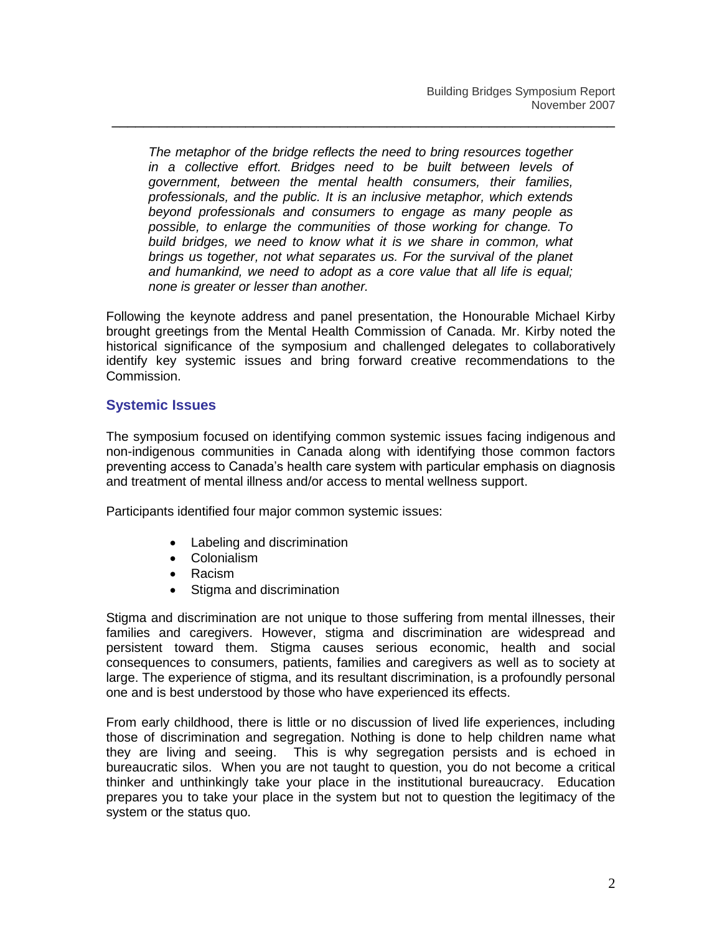*The metaphor of the bridge reflects the need to bring resources together in a collective effort. Bridges need to be built between levels of government, between the mental health consumers, their families, professionals, and the public. It is an inclusive metaphor, which extends beyond professionals and consumers to engage as many people as possible, to enlarge the communities of those working for change. To build bridges, we need to know what it is we share in common, what brings us together, not what separates us. For the survival of the planet and humankind, we need to adopt as a core value that all life is equal; none is greater or lesser than another.*

\_\_\_\_\_\_\_\_\_\_\_\_\_\_\_\_\_\_\_\_\_\_\_\_\_\_\_\_\_\_\_\_\_\_\_\_\_\_\_\_\_\_\_\_\_\_\_\_\_\_\_\_\_\_\_\_\_\_\_\_\_\_\_\_

Following the keynote address and panel presentation, the Honourable Michael Kirby brought greetings from the Mental Health Commission of Canada. Mr. Kirby noted the historical significance of the symposium and challenged delegates to collaboratively identify key systemic issues and bring forward creative recommendations to the Commission.

# **Systemic Issues**

The symposium focused on identifying common systemic issues facing indigenous and non-indigenous communities in Canada along with identifying those common factors preventing access to Canada"s health care system with particular emphasis on diagnosis and treatment of mental illness and/or access to mental wellness support.

Participants identified four major common systemic issues:

- Labeling and discrimination
- Colonialism
- Racism
- Stigma and discrimination

Stigma and discrimination are not unique to those suffering from mental illnesses, their families and caregivers. However, stigma and discrimination are widespread and persistent toward them. Stigma causes serious economic, health and social consequences to consumers, patients, families and caregivers as well as to society at large. The experience of stigma, and its resultant discrimination, is a profoundly personal one and is best understood by those who have experienced its effects.

From early childhood, there is little or no discussion of lived life experiences, including those of discrimination and segregation. Nothing is done to help children name what they are living and seeing. This is why segregation persists and is echoed in bureaucratic silos. When you are not taught to question, you do not become a critical thinker and unthinkingly take your place in the institutional bureaucracy. Education prepares you to take your place in the system but not to question the legitimacy of the system or the status quo.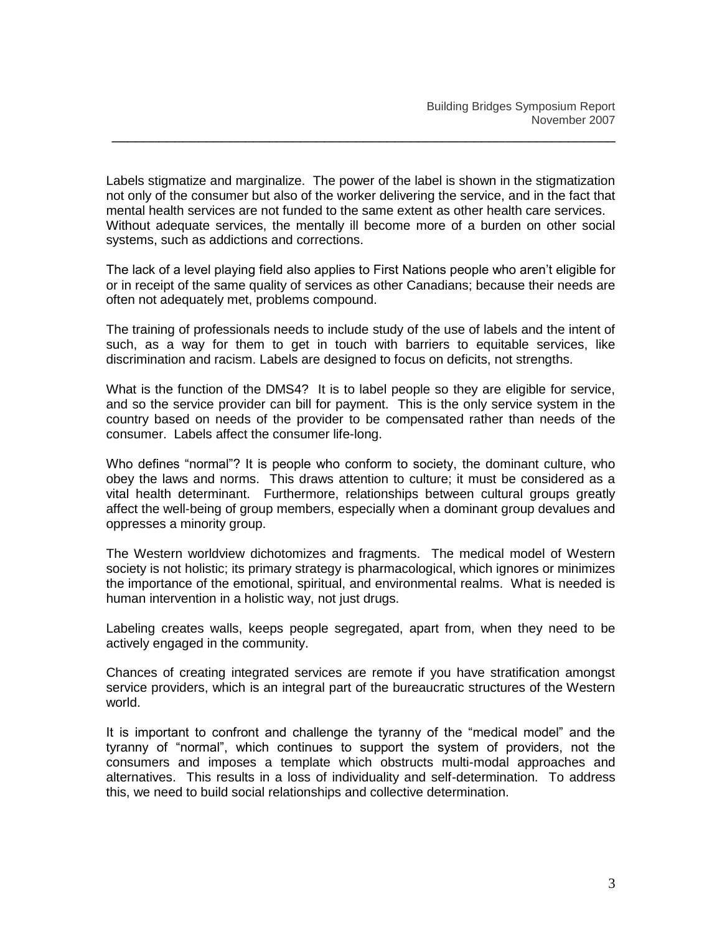Labels stigmatize and marginalize. The power of the label is shown in the stigmatization not only of the consumer but also of the worker delivering the service, and in the fact that mental health services are not funded to the same extent as other health care services. Without adequate services, the mentally ill become more of a burden on other social systems, such as addictions and corrections.

\_\_\_\_\_\_\_\_\_\_\_\_\_\_\_\_\_\_\_\_\_\_\_\_\_\_\_\_\_\_\_\_\_\_\_\_\_\_\_\_\_\_\_\_\_\_\_\_\_\_\_\_\_\_\_\_\_\_\_\_\_\_\_\_

The lack of a level playing field also applies to First Nations people who aren"t eligible for or in receipt of the same quality of services as other Canadians; because their needs are often not adequately met, problems compound.

The training of professionals needs to include study of the use of labels and the intent of such, as a way for them to get in touch with barriers to equitable services, like discrimination and racism. Labels are designed to focus on deficits, not strengths.

What is the function of the DMS4? It is to label people so they are eligible for service, and so the service provider can bill for payment. This is the only service system in the country based on needs of the provider to be compensated rather than needs of the consumer. Labels affect the consumer life-long.

Who defines "normal"? It is people who conform to society, the dominant culture, who obey the laws and norms. This draws attention to culture; it must be considered as a vital health determinant. Furthermore, relationships between cultural groups greatly affect the well-being of group members, especially when a dominant group devalues and oppresses a minority group.

The Western worldview dichotomizes and fragments. The medical model of Western society is not holistic; its primary strategy is pharmacological, which ignores or minimizes the importance of the emotional, spiritual, and environmental realms. What is needed is human intervention in a holistic way, not just drugs.

Labeling creates walls, keeps people segregated, apart from, when they need to be actively engaged in the community.

Chances of creating integrated services are remote if you have stratification amongst service providers, which is an integral part of the bureaucratic structures of the Western world.

It is important to confront and challenge the tyranny of the "medical model" and the tyranny of "normal", which continues to support the system of providers, not the consumers and imposes a template which obstructs multi-modal approaches and alternatives. This results in a loss of individuality and self-determination. To address this, we need to build social relationships and collective determination.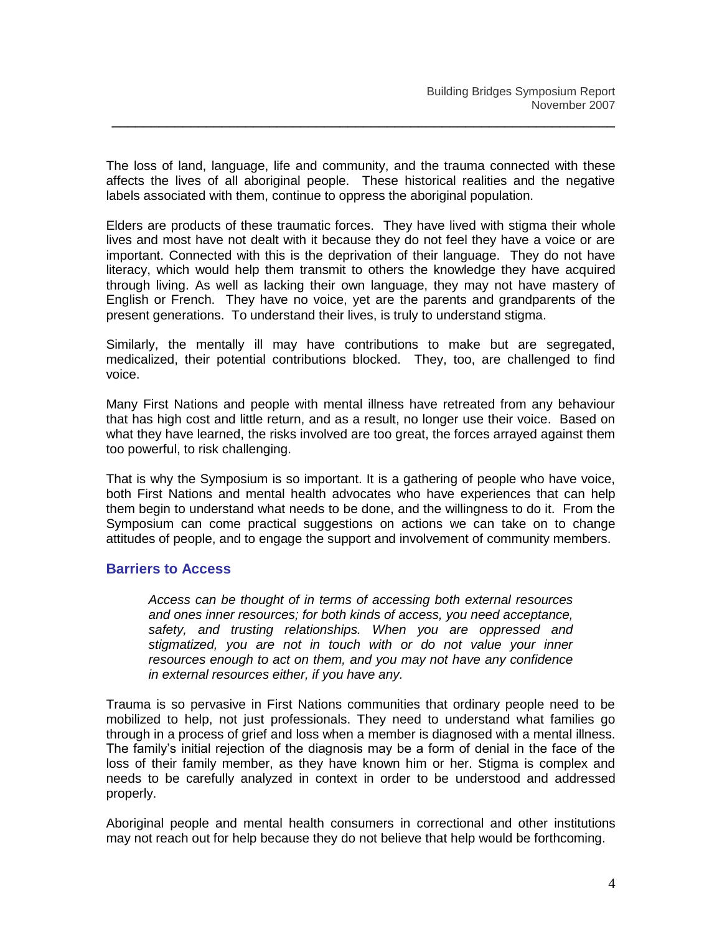The loss of land, language, life and community, and the trauma connected with these affects the lives of all aboriginal people. These historical realities and the negative labels associated with them, continue to oppress the aboriginal population.

\_\_\_\_\_\_\_\_\_\_\_\_\_\_\_\_\_\_\_\_\_\_\_\_\_\_\_\_\_\_\_\_\_\_\_\_\_\_\_\_\_\_\_\_\_\_\_\_\_\_\_\_\_\_\_\_\_\_\_\_\_\_\_\_

Elders are products of these traumatic forces. They have lived with stigma their whole lives and most have not dealt with it because they do not feel they have a voice or are important. Connected with this is the deprivation of their language. They do not have literacy, which would help them transmit to others the knowledge they have acquired through living. As well as lacking their own language, they may not have mastery of English or French. They have no voice, yet are the parents and grandparents of the present generations. To understand their lives, is truly to understand stigma.

Similarly, the mentally ill may have contributions to make but are segregated, medicalized, their potential contributions blocked. They, too, are challenged to find voice.

Many First Nations and people with mental illness have retreated from any behaviour that has high cost and little return, and as a result, no longer use their voice. Based on what they have learned, the risks involved are too great, the forces arrayed against them too powerful, to risk challenging.

That is why the Symposium is so important. It is a gathering of people who have voice, both First Nations and mental health advocates who have experiences that can help them begin to understand what needs to be done, and the willingness to do it. From the Symposium can come practical suggestions on actions we can take on to change attitudes of people, and to engage the support and involvement of community members.

## **Barriers to Access**

*Access can be thought of in terms of accessing both external resources and ones inner resources; for both kinds of access, you need acceptance, safety, and trusting relationships. When you are oppressed and stigmatized, you are not in touch with or do not value your inner resources enough to act on them, and you may not have any confidence in external resources either, if you have any.*

Trauma is so pervasive in First Nations communities that ordinary people need to be mobilized to help, not just professionals. They need to understand what families go through in a process of grief and loss when a member is diagnosed with a mental illness. The family"s initial rejection of the diagnosis may be a form of denial in the face of the loss of their family member, as they have known him or her. Stigma is complex and needs to be carefully analyzed in context in order to be understood and addressed properly.

Aboriginal people and mental health consumers in correctional and other institutions may not reach out for help because they do not believe that help would be forthcoming.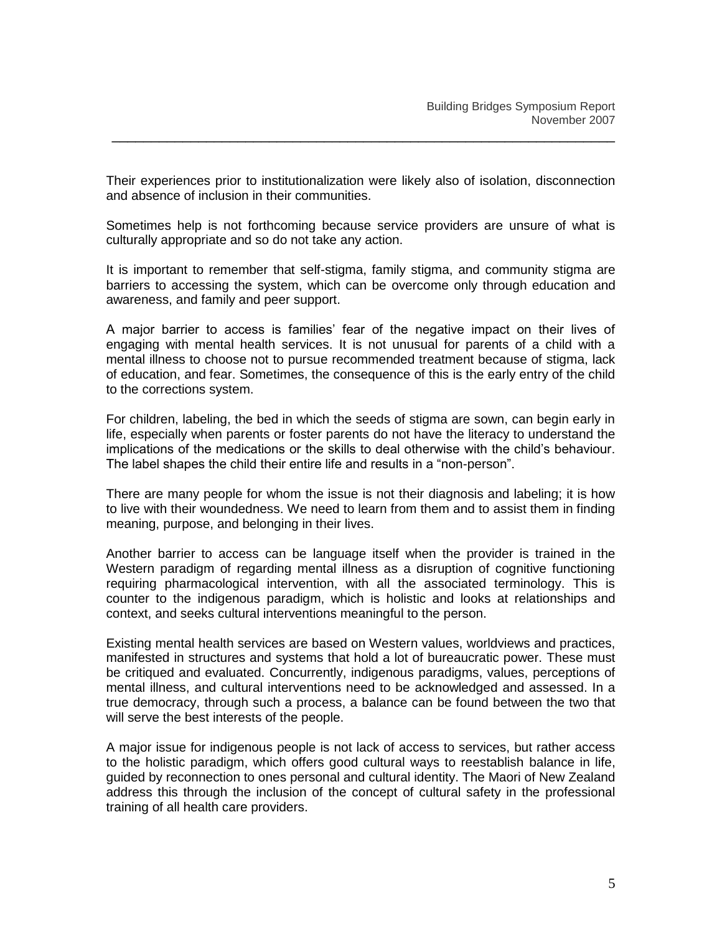Their experiences prior to institutionalization were likely also of isolation, disconnection and absence of inclusion in their communities.

\_\_\_\_\_\_\_\_\_\_\_\_\_\_\_\_\_\_\_\_\_\_\_\_\_\_\_\_\_\_\_\_\_\_\_\_\_\_\_\_\_\_\_\_\_\_\_\_\_\_\_\_\_\_\_\_\_\_\_\_\_\_\_\_

Sometimes help is not forthcoming because service providers are unsure of what is culturally appropriate and so do not take any action.

It is important to remember that self-stigma, family stigma, and community stigma are barriers to accessing the system, which can be overcome only through education and awareness, and family and peer support.

A major barrier to access is families" fear of the negative impact on their lives of engaging with mental health services. It is not unusual for parents of a child with a mental illness to choose not to pursue recommended treatment because of stigma, lack of education, and fear. Sometimes, the consequence of this is the early entry of the child to the corrections system.

For children, labeling, the bed in which the seeds of stigma are sown, can begin early in life, especially when parents or foster parents do not have the literacy to understand the implications of the medications or the skills to deal otherwise with the child"s behaviour. The label shapes the child their entire life and results in a "non-person".

There are many people for whom the issue is not their diagnosis and labeling; it is how to live with their woundedness. We need to learn from them and to assist them in finding meaning, purpose, and belonging in their lives.

Another barrier to access can be language itself when the provider is trained in the Western paradigm of regarding mental illness as a disruption of cognitive functioning requiring pharmacological intervention, with all the associated terminology. This is counter to the indigenous paradigm, which is holistic and looks at relationships and context, and seeks cultural interventions meaningful to the person.

Existing mental health services are based on Western values, worldviews and practices, manifested in structures and systems that hold a lot of bureaucratic power. These must be critiqued and evaluated. Concurrently, indigenous paradigms, values, perceptions of mental illness, and cultural interventions need to be acknowledged and assessed. In a true democracy, through such a process, a balance can be found between the two that will serve the best interests of the people.

A major issue for indigenous people is not lack of access to services, but rather access to the holistic paradigm, which offers good cultural ways to reestablish balance in life, guided by reconnection to ones personal and cultural identity. The Maori of New Zealand address this through the inclusion of the concept of cultural safety in the professional training of all health care providers.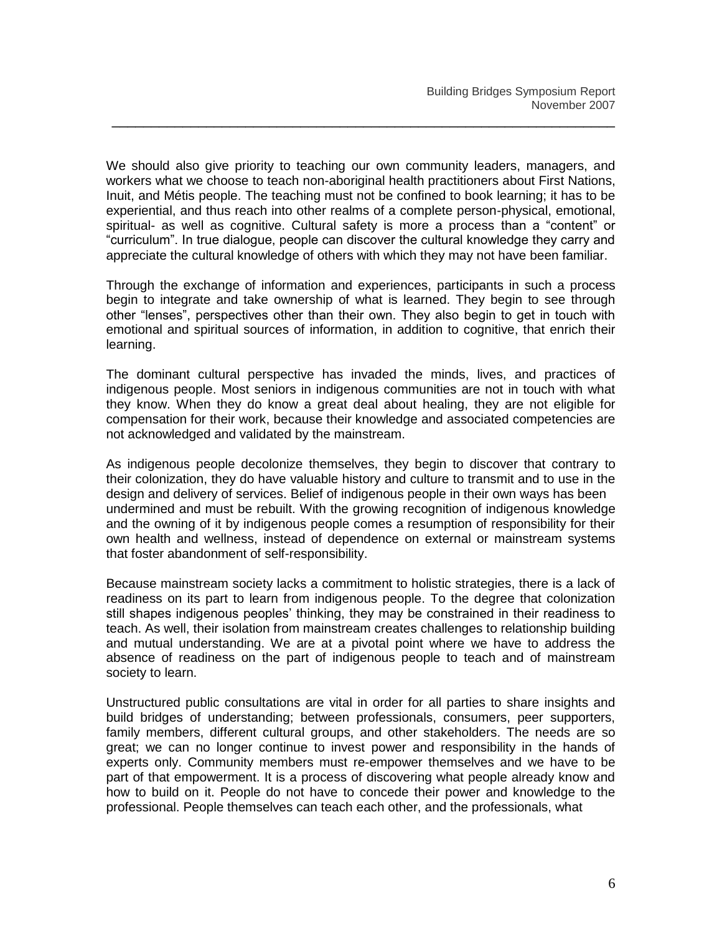We should also give priority to teaching our own community leaders, managers, and workers what we choose to teach non-aboriginal health practitioners about First Nations, Inuit, and Métis people. The teaching must not be confined to book learning; it has to be experiential, and thus reach into other realms of a complete person-physical, emotional, spiritual- as well as cognitive. Cultural safety is more a process than a "content" or "curriculum". In true dialogue, people can discover the cultural knowledge they carry and appreciate the cultural knowledge of others with which they may not have been familiar.

\_\_\_\_\_\_\_\_\_\_\_\_\_\_\_\_\_\_\_\_\_\_\_\_\_\_\_\_\_\_\_\_\_\_\_\_\_\_\_\_\_\_\_\_\_\_\_\_\_\_\_\_\_\_\_\_\_\_\_\_\_\_\_\_

Through the exchange of information and experiences, participants in such a process begin to integrate and take ownership of what is learned. They begin to see through other "lenses", perspectives other than their own. They also begin to get in touch with emotional and spiritual sources of information, in addition to cognitive, that enrich their learning.

The dominant cultural perspective has invaded the minds, lives, and practices of indigenous people. Most seniors in indigenous communities are not in touch with what they know. When they do know a great deal about healing, they are not eligible for compensation for their work, because their knowledge and associated competencies are not acknowledged and validated by the mainstream.

As indigenous people decolonize themselves, they begin to discover that contrary to their colonization, they do have valuable history and culture to transmit and to use in the design and delivery of services. Belief of indigenous people in their own ways has been undermined and must be rebuilt. With the growing recognition of indigenous knowledge and the owning of it by indigenous people comes a resumption of responsibility for their own health and wellness, instead of dependence on external or mainstream systems that foster abandonment of self-responsibility.

Because mainstream society lacks a commitment to holistic strategies, there is a lack of readiness on its part to learn from indigenous people. To the degree that colonization still shapes indigenous peoples" thinking, they may be constrained in their readiness to teach. As well, their isolation from mainstream creates challenges to relationship building and mutual understanding. We are at a pivotal point where we have to address the absence of readiness on the part of indigenous people to teach and of mainstream society to learn.

Unstructured public consultations are vital in order for all parties to share insights and build bridges of understanding; between professionals, consumers, peer supporters, family members, different cultural groups, and other stakeholders. The needs are so great; we can no longer continue to invest power and responsibility in the hands of experts only. Community members must re-empower themselves and we have to be part of that empowerment. It is a process of discovering what people already know and how to build on it. People do not have to concede their power and knowledge to the professional. People themselves can teach each other, and the professionals, what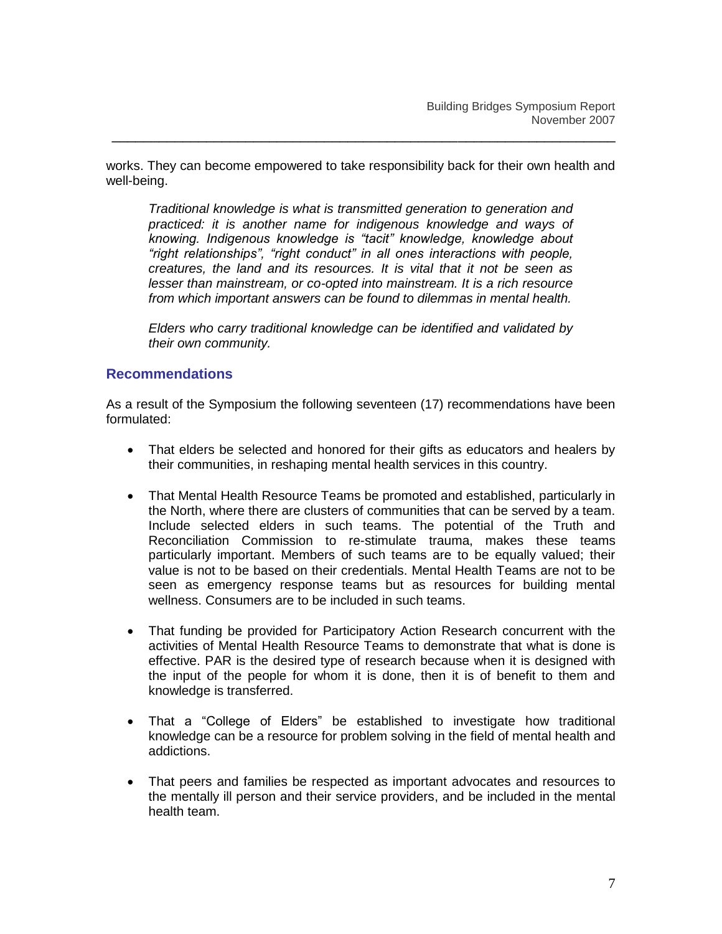works. They can become empowered to take responsibility back for their own health and well-being.

\_\_\_\_\_\_\_\_\_\_\_\_\_\_\_\_\_\_\_\_\_\_\_\_\_\_\_\_\_\_\_\_\_\_\_\_\_\_\_\_\_\_\_\_\_\_\_\_\_\_\_\_\_\_\_\_\_\_\_\_\_\_\_\_

*Traditional knowledge is what is transmitted generation to generation and practiced: it is another name for indigenous knowledge and ways of knowing. Indigenous knowledge is "tacit" knowledge, knowledge about "right relationships", "right conduct" in all ones interactions with people, creatures, the land and its resources. It is vital that it not be seen as lesser than mainstream, or co-opted into mainstream. It is a rich resource from which important answers can be found to dilemmas in mental health.*

*Elders who carry traditional knowledge can be identified and validated by their own community.*

## **Recommendations**

As a result of the Symposium the following seventeen (17) recommendations have been formulated:

- That elders be selected and honored for their gifts as educators and healers by their communities, in reshaping mental health services in this country.
- That Mental Health Resource Teams be promoted and established, particularly in the North, where there are clusters of communities that can be served by a team. Include selected elders in such teams. The potential of the Truth and Reconciliation Commission to re-stimulate trauma, makes these teams particularly important. Members of such teams are to be equally valued; their value is not to be based on their credentials. Mental Health Teams are not to be seen as emergency response teams but as resources for building mental wellness. Consumers are to be included in such teams.
- That funding be provided for Participatory Action Research concurrent with the activities of Mental Health Resource Teams to demonstrate that what is done is effective. PAR is the desired type of research because when it is designed with the input of the people for whom it is done, then it is of benefit to them and knowledge is transferred.
- That a "College of Elders" be established to investigate how traditional knowledge can be a resource for problem solving in the field of mental health and addictions.
- That peers and families be respected as important advocates and resources to the mentally ill person and their service providers, and be included in the mental health team.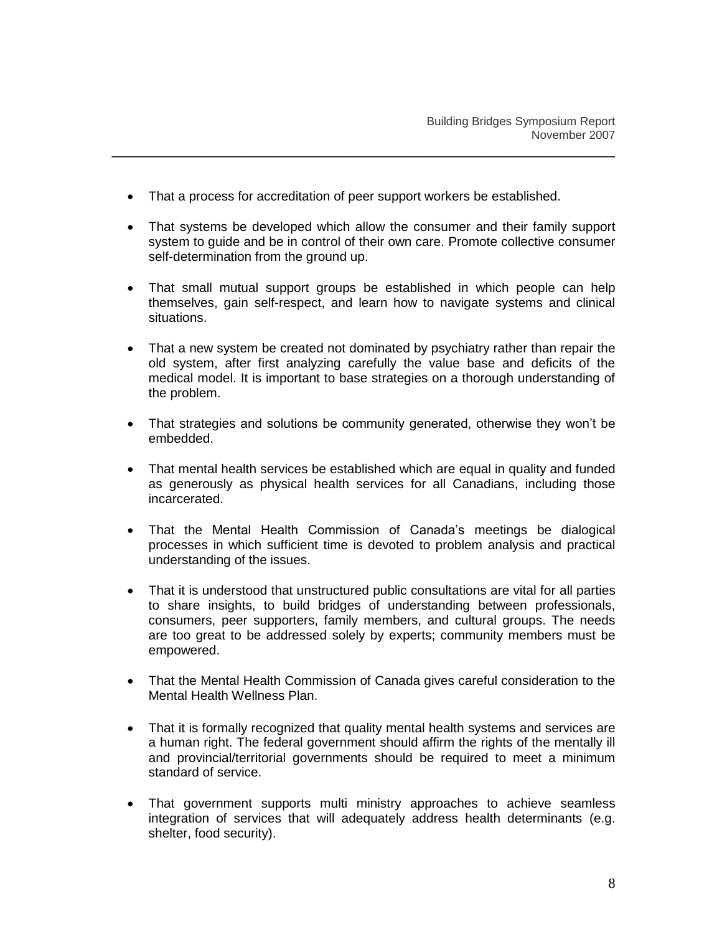• That a process for accreditation of peer support workers be established.

- That systems be developed which allow the consumer and their family support system to guide and be in control of their own care. Promote collective consumer self-determination from the ground up.
- That small mutual support groups be established in which people can help themselves, gain self-respect, and learn how to navigate systems and clinical situations.
- That a new system be created not dominated by psychiatry rather than repair the old system, after first analyzing carefully the value base and deficits of the medical model. It is important to base strategies on a thorough understanding of the problem.
- That strategies and solutions be community generated, otherwise they won't be embedded.
- That mental health services be established which are equal in quality and funded as generously as physical health services for all Canadians, including those incarcerated.
- That the Mental Health Commission of Canada"s meetings be dialogical processes in which sufficient time is devoted to problem analysis and practical understanding of the issues.
- That it is understood that unstructured public consultations are vital for all parties to share insights, to build bridges of understanding between professionals, consumers, peer supporters, family members, and cultural groups. The needs are too great to be addressed solely by experts; community members must be empowered.
- That the Mental Health Commission of Canada gives careful consideration to the Mental Health Wellness Plan.
- That it is formally recognized that quality mental health systems and services are a human right. The federal government should affirm the rights of the mentally ill and provincial/territorial governments should be required to meet a minimum standard of service.
- That government supports multi ministry approaches to achieve seamless integration of services that will adequately address health determinants (e.g. shelter, food security).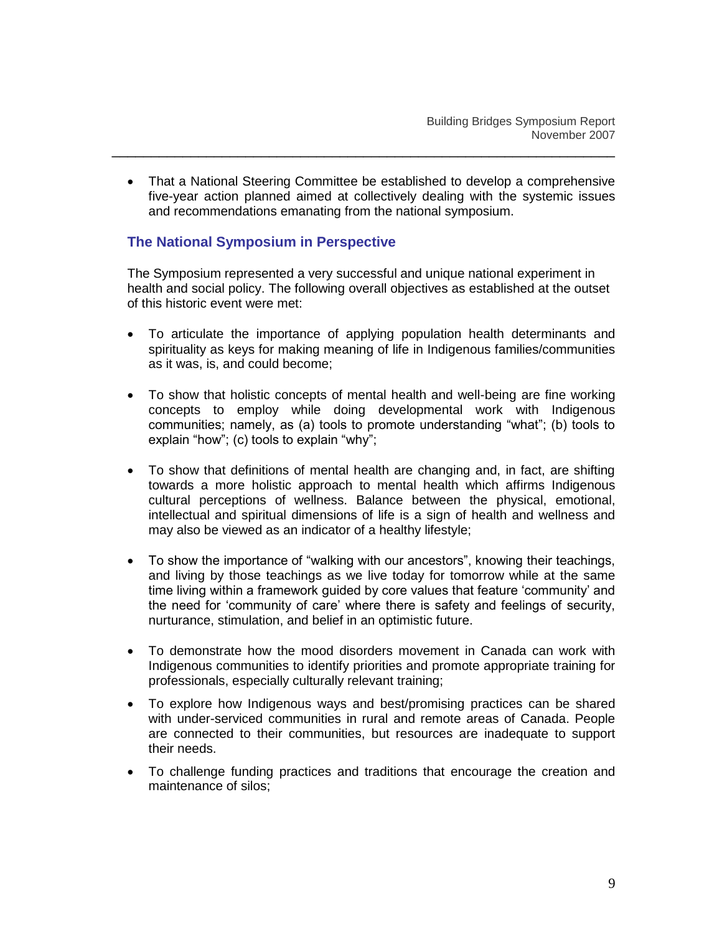That a National Steering Committee be established to develop a comprehensive five-year action planned aimed at collectively dealing with the systemic issues and recommendations emanating from the national symposium.

\_\_\_\_\_\_\_\_\_\_\_\_\_\_\_\_\_\_\_\_\_\_\_\_\_\_\_\_\_\_\_\_\_\_\_\_\_\_\_\_\_\_\_\_\_\_\_\_\_\_\_\_\_\_\_\_\_\_\_\_\_\_\_\_

## **The National Symposium in Perspective**

The Symposium represented a very successful and unique national experiment in health and social policy. The following overall objectives as established at the outset of this historic event were met:

- To articulate the importance of applying population health determinants and spirituality as keys for making meaning of life in Indigenous families/communities as it was, is, and could become;
- To show that holistic concepts of mental health and well-being are fine working concepts to employ while doing developmental work with Indigenous communities; namely, as (a) tools to promote understanding "what"; (b) tools to explain "how"; (c) tools to explain "why";
- To show that definitions of mental health are changing and, in fact, are shifting towards a more holistic approach to mental health which affirms Indigenous cultural perceptions of wellness. Balance between the physical, emotional, intellectual and spiritual dimensions of life is a sign of health and wellness and may also be viewed as an indicator of a healthy lifestyle;
- To show the importance of "walking with our ancestors", knowing their teachings, and living by those teachings as we live today for tomorrow while at the same time living within a framework guided by core values that feature "community" and the need for "community of care" where there is safety and feelings of security, nurturance, stimulation, and belief in an optimistic future.
- To demonstrate how the mood disorders movement in Canada can work with Indigenous communities to identify priorities and promote appropriate training for professionals, especially culturally relevant training;
- To explore how Indigenous ways and best/promising practices can be shared with under-serviced communities in rural and remote areas of Canada. People are connected to their communities, but resources are inadequate to support their needs.
- To challenge funding practices and traditions that encourage the creation and maintenance of silos;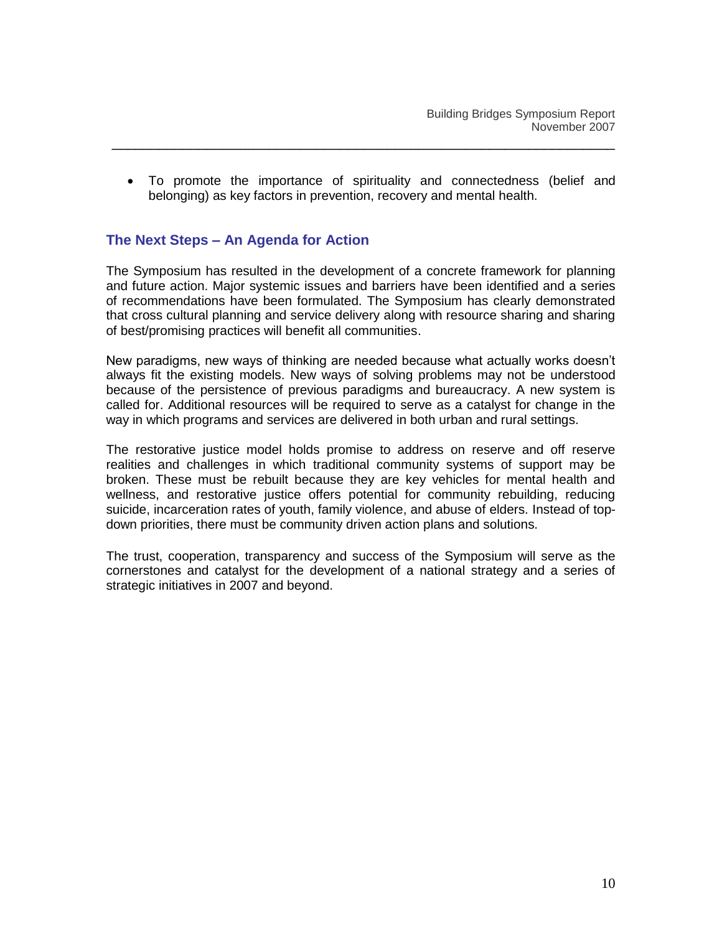To promote the importance of spirituality and connectedness (belief and belonging) as key factors in prevention, recovery and mental health.

## **The Next Steps – An Agenda for Action**

The Symposium has resulted in the development of a concrete framework for planning and future action. Major systemic issues and barriers have been identified and a series of recommendations have been formulated. The Symposium has clearly demonstrated that cross cultural planning and service delivery along with resource sharing and sharing of best/promising practices will benefit all communities.

New paradigms, new ways of thinking are needed because what actually works doesn"t always fit the existing models. New ways of solving problems may not be understood because of the persistence of previous paradigms and bureaucracy. A new system is called for. Additional resources will be required to serve as a catalyst for change in the way in which programs and services are delivered in both urban and rural settings.

The restorative justice model holds promise to address on reserve and off reserve realities and challenges in which traditional community systems of support may be broken. These must be rebuilt because they are key vehicles for mental health and wellness, and restorative justice offers potential for community rebuilding, reducing suicide, incarceration rates of youth, family violence, and abuse of elders. Instead of topdown priorities, there must be community driven action plans and solutions.

The trust, cooperation, transparency and success of the Symposium will serve as the cornerstones and catalyst for the development of a national strategy and a series of strategic initiatives in 2007 and beyond.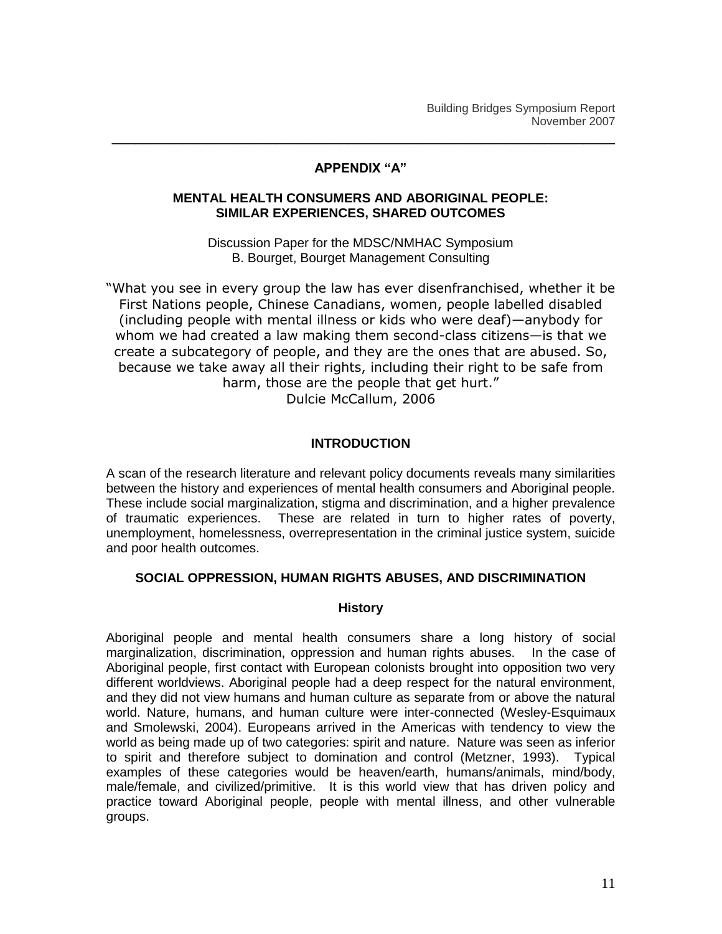#### **APPENDIX "A"**

\_\_\_\_\_\_\_\_\_\_\_\_\_\_\_\_\_\_\_\_\_\_\_\_\_\_\_\_\_\_\_\_\_\_\_\_\_\_\_\_\_\_\_\_\_\_\_\_\_\_\_\_\_\_\_\_\_\_\_\_\_\_\_\_

#### **MENTAL HEALTH CONSUMERS AND ABORIGINAL PEOPLE: SIMILAR EXPERIENCES, SHARED OUTCOMES**

Discussion Paper for the MDSC/NMHAC Symposium B. Bourget, Bourget Management Consulting

"What you see in every group the law has ever disenfranchised, whether it be First Nations people, Chinese Canadians, women, people labelled disabled (including people with mental illness or kids who were deaf)—anybody for whom we had created a law making them second-class citizens—is that we create a subcategory of people, and they are the ones that are abused. So, because we take away all their rights, including their right to be safe from harm, those are the people that get hurt."

Dulcie McCallum, 2006

## **INTRODUCTION**

A scan of the research literature and relevant policy documents reveals many similarities between the history and experiences of mental health consumers and Aboriginal people. These include social marginalization, stigma and discrimination, and a higher prevalence of traumatic experiences. These are related in turn to higher rates of poverty, unemployment, homelessness, overrepresentation in the criminal justice system, suicide and poor health outcomes.

#### **SOCIAL OPPRESSION, HUMAN RIGHTS ABUSES, AND DISCRIMINATION**

#### **History**

Aboriginal people and mental health consumers share a long history of social marginalization, discrimination, oppression and human rights abuses. In the case of Aboriginal people, first contact with European colonists brought into opposition two very different worldviews. Aboriginal people had a deep respect for the natural environment, and they did not view humans and human culture as separate from or above the natural world. Nature, humans, and human culture were inter-connected (Wesley-Esquimaux and Smolewski, 2004). Europeans arrived in the Americas with tendency to view the world as being made up of two categories: spirit and nature. Nature was seen as inferior to spirit and therefore subject to domination and control (Metzner, 1993). Typical examples of these categories would be heaven/earth, humans/animals, mind/body, male/female, and civilized/primitive. It is this world view that has driven policy and practice toward Aboriginal people, people with mental illness, and other vulnerable groups.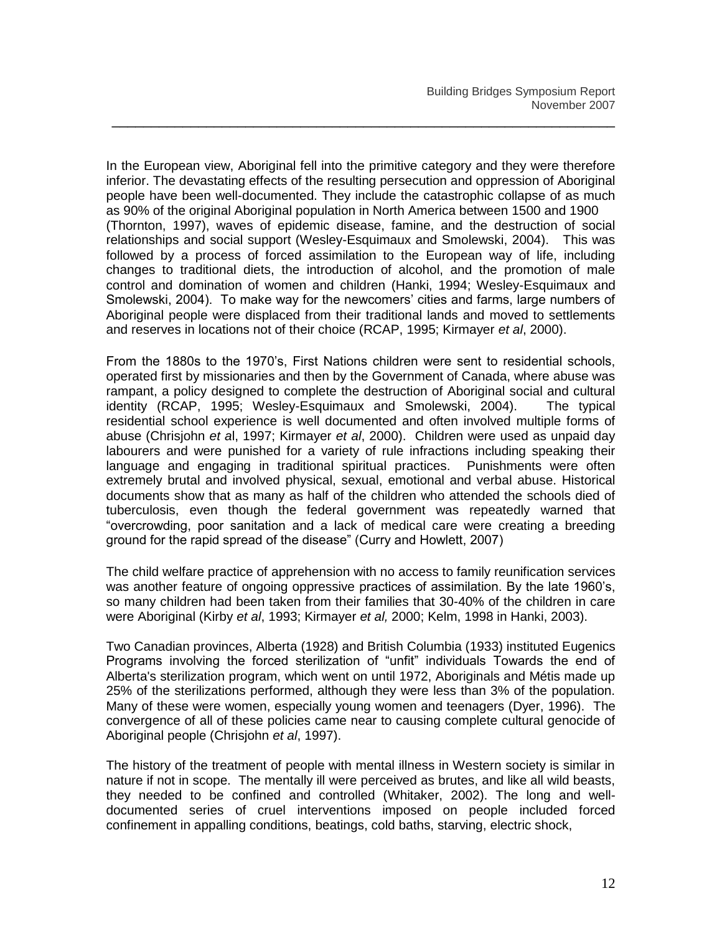In the European view, Aboriginal fell into the primitive category and they were therefore inferior. The devastating effects of the resulting persecution and oppression of Aboriginal people have been well-documented. They include the catastrophic collapse of as much as 90% of the original Aboriginal population in North America between 1500 and 1900 (Thornton, 1997), waves of epidemic disease, famine, and the destruction of social relationships and social support (Wesley-Esquimaux and Smolewski, 2004). This was followed by a process of forced assimilation to the European way of life, including changes to traditional diets, the introduction of alcohol, and the promotion of male control and domination of women and children (Hanki, 1994; Wesley-Esquimaux and Smolewski, 2004). To make way for the newcomers' cities and farms, large numbers of Aboriginal people were displaced from their traditional lands and moved to settlements and reserves in locations not of their choice (RCAP, 1995; Kirmayer *et al*, 2000).

\_\_\_\_\_\_\_\_\_\_\_\_\_\_\_\_\_\_\_\_\_\_\_\_\_\_\_\_\_\_\_\_\_\_\_\_\_\_\_\_\_\_\_\_\_\_\_\_\_\_\_\_\_\_\_\_\_\_\_\_\_\_\_\_

From the 1880s to the 1970"s, First Nations children were sent to residential schools, operated first by missionaries and then by the Government of Canada, where abuse was rampant, a policy designed to complete the destruction of Aboriginal social and cultural identity (RCAP, 1995; Wesley-Esquimaux and Smolewski, 2004). The typical residential school experience is well documented and often involved multiple forms of abuse (Chrisjohn *et a*l, 1997; Kirmayer *et al*, 2000). Children were used as unpaid day labourers and were punished for a variety of rule infractions including speaking their language and engaging in traditional spiritual practices. Punishments were often extremely brutal and involved physical, sexual, emotional and verbal abuse. Historical documents show that as many as half of the children who attended the schools died of tuberculosis, even though the federal government was repeatedly warned that "overcrowding, poor sanitation and a lack of medical care were creating a breeding ground for the rapid spread of the disease" (Curry and Howlett, 2007)

The child welfare practice of apprehension with no access to family reunification services was another feature of ongoing oppressive practices of assimilation. By the late 1960"s, so many children had been taken from their families that 30-40% of the children in care were Aboriginal (Kirby *et al*, 1993; Kirmayer *et al,* 2000; Kelm, 1998 in Hanki, 2003).

Two Canadian provinces, Alberta (1928) and British Columbia (1933) instituted Eugenics Programs involving the forced sterilization of "unfit" individuals Towards the end of Alberta's sterilization program, which went on until 1972, Aboriginals and Métis made up 25% of the sterilizations performed, although they were less than 3% of the population. Many of these were women, especially young women and teenagers (Dyer, 1996). The convergence of all of these policies came near to causing complete cultural genocide of Aboriginal people (Chrisjohn *et al*, 1997).

The history of the treatment of people with mental illness in Western society is similar in nature if not in scope. The mentally ill were perceived as brutes, and like all wild beasts, they needed to be confined and controlled (Whitaker, 2002). The long and welldocumented series of cruel interventions imposed on people included forced confinement in appalling conditions, beatings, cold baths, starving, electric shock,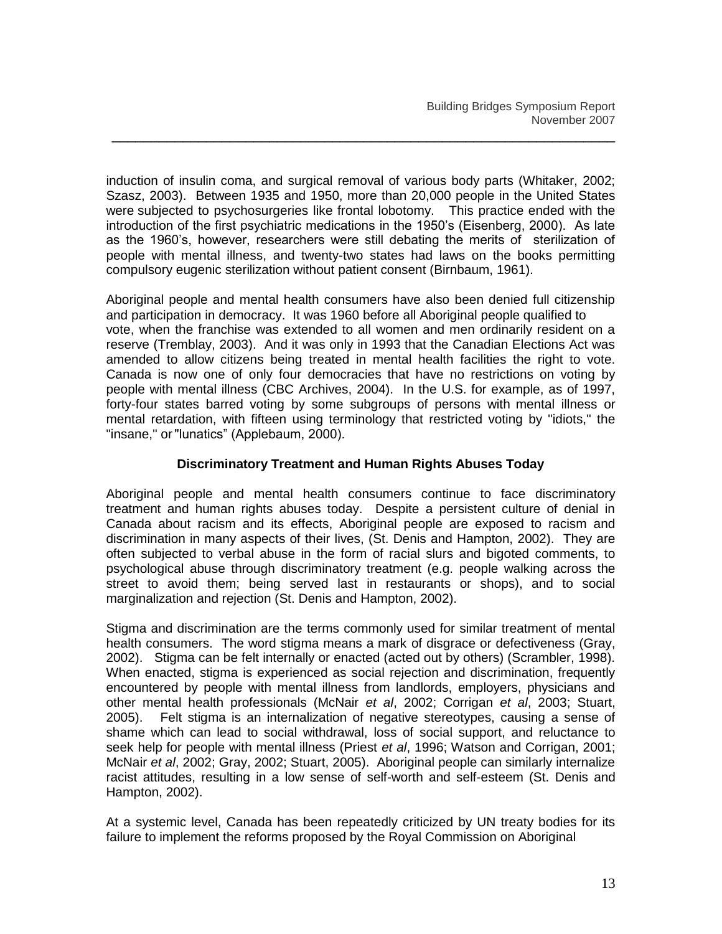induction of insulin coma, and surgical removal of various body parts (Whitaker, 2002; Szasz, 2003). Between 1935 and 1950, more than 20,000 people in the United States were subjected to psychosurgeries like frontal lobotomy. This practice ended with the introduction of the first psychiatric medications in the 1950"s (Eisenberg, 2000). As late as the 1960"s, however, researchers were still debating the merits of sterilization of people with mental illness, and twenty-two states had laws on the books permitting compulsory eugenic sterilization without patient consent (Birnbaum, 1961).

\_\_\_\_\_\_\_\_\_\_\_\_\_\_\_\_\_\_\_\_\_\_\_\_\_\_\_\_\_\_\_\_\_\_\_\_\_\_\_\_\_\_\_\_\_\_\_\_\_\_\_\_\_\_\_\_\_\_\_\_\_\_\_\_

Aboriginal people and mental health consumers have also been denied full citizenship and participation in democracy. It was 1960 before all Aboriginal people qualified to vote, when the franchise was extended to all women and men ordinarily resident on a reserve (Tremblay, 2003). And it was only in 1993 that the Canadian Elections Act was amended to allow citizens being treated in mental health facilities the right to vote. Canada is now one of only four democracies that have no restrictions on voting by people with mental illness (CBC Archives, 2004). In the U.S. for example, as of 1997, forty-four states barred voting by some subgroups of persons with mental illness or mental retardation, with fifteen using terminology that restricted voting by "idiots," the "insane," or"lunatics" (Applebaum, 2000).

## **Discriminatory Treatment and Human Rights Abuses Today**

Aboriginal people and mental health consumers continue to face discriminatory treatment and human rights abuses today. Despite a persistent culture of denial in Canada about racism and its effects, Aboriginal people are exposed to racism and discrimination in many aspects of their lives, (St. Denis and Hampton, 2002). They are often subjected to verbal abuse in the form of racial slurs and bigoted comments, to psychological abuse through discriminatory treatment (e.g. people walking across the street to avoid them; being served last in restaurants or shops), and to social marginalization and rejection (St. Denis and Hampton, 2002).

Stigma and discrimination are the terms commonly used for similar treatment of mental health consumers. The word stigma means a mark of disgrace or defectiveness (Gray, 2002). Stigma can be felt internally or enacted (acted out by others) (Scrambler, 1998). When enacted, stigma is experienced as social rejection and discrimination, frequently encountered by people with mental illness from landlords, employers, physicians and other mental health professionals (McNair *et al*, 2002; Corrigan *et al*, 2003; Stuart, 2005). Felt stigma is an internalization of negative stereotypes, causing a sense of shame which can lead to social withdrawal, loss of social support, and reluctance to seek help for people with mental illness (Priest *et al*, 1996; Watson and Corrigan, 2001; McNair *et al*, 2002; Gray, 2002; Stuart, 2005). Aboriginal people can similarly internalize racist attitudes, resulting in a low sense of self-worth and self-esteem (St. Denis and Hampton, 2002).

At a systemic level, Canada has been repeatedly criticized by UN treaty bodies for its failure to implement the reforms proposed by the Royal Commission on Aboriginal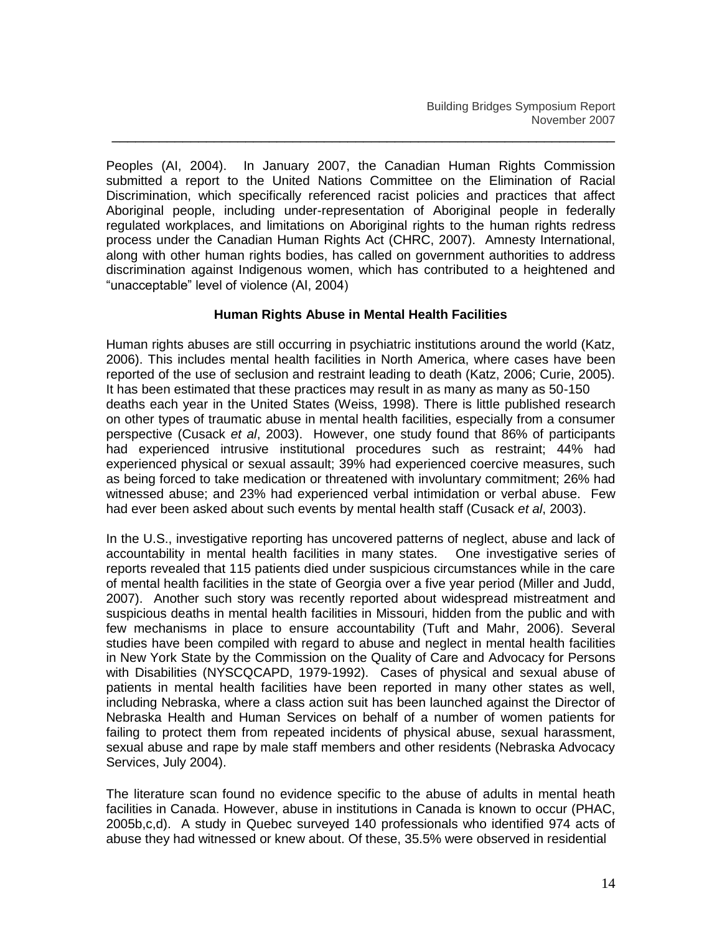Peoples (AI, 2004). In January 2007, the Canadian Human Rights Commission submitted a report to the United Nations Committee on the Elimination of Racial Discrimination, which specifically referenced racist policies and practices that affect Aboriginal people, including under-representation of Aboriginal people in federally regulated workplaces, and limitations on Aboriginal rights to the human rights redress process under the Canadian Human Rights Act (CHRC, 2007). Amnesty International, along with other human rights bodies, has called on government authorities to address discrimination against Indigenous women, which has contributed to a heightened and "unacceptable" level of violence (AI, 2004)

\_\_\_\_\_\_\_\_\_\_\_\_\_\_\_\_\_\_\_\_\_\_\_\_\_\_\_\_\_\_\_\_\_\_\_\_\_\_\_\_\_\_\_\_\_\_\_\_\_\_\_\_\_\_\_\_\_\_\_\_\_\_\_\_

#### **Human Rights Abuse in Mental Health Facilities**

Human rights abuses are still occurring in psychiatric institutions around the world (Katz, 2006). This includes mental health facilities in North America, where cases have been reported of the use of seclusion and restraint leading to death (Katz, 2006; Curie, 2005). It has been estimated that these practices may result in as many as many as 50-150 deaths each year in the United States (Weiss, 1998). There is little published research on other types of traumatic abuse in mental health facilities, especially from a consumer perspective (Cusack *et al*, 2003). However, one study found that 86% of participants had experienced intrusive institutional procedures such as restraint; 44% had experienced physical or sexual assault; 39% had experienced coercive measures, such as being forced to take medication or threatened with involuntary commitment; 26% had witnessed abuse; and 23% had experienced verbal intimidation or verbal abuse. Few had ever been asked about such events by mental health staff (Cusack *et al*, 2003).

In the U.S., investigative reporting has uncovered patterns of neglect, abuse and lack of accountability in mental health facilities in many states. One investigative series of reports revealed that 115 patients died under suspicious circumstances while in the care of mental health facilities in the state of Georgia over a five year period (Miller and Judd, 2007). Another such story was recently reported about widespread mistreatment and suspicious deaths in mental health facilities in Missouri, hidden from the public and with few mechanisms in place to ensure accountability (Tuft and Mahr, 2006). Several studies have been compiled with regard to abuse and neglect in mental health facilities in New York State by the Commission on the Quality of Care and Advocacy for Persons with Disabilities (NYSCQCAPD, 1979-1992). Cases of physical and sexual abuse of patients in mental health facilities have been reported in many other states as well, including Nebraska, where a class action suit has been launched against the Director of Nebraska Health and Human Services on behalf of a number of women patients for failing to protect them from repeated incidents of physical abuse, sexual harassment, sexual abuse and rape by male staff members and other residents (Nebraska Advocacy Services, July 2004).

The literature scan found no evidence specific to the abuse of adults in mental heath facilities in Canada. However, abuse in institutions in Canada is known to occur (PHAC, 2005b,c,d). A study in Quebec surveyed 140 professionals who identified 974 acts of abuse they had witnessed or knew about. Of these, 35.5% were observed in residential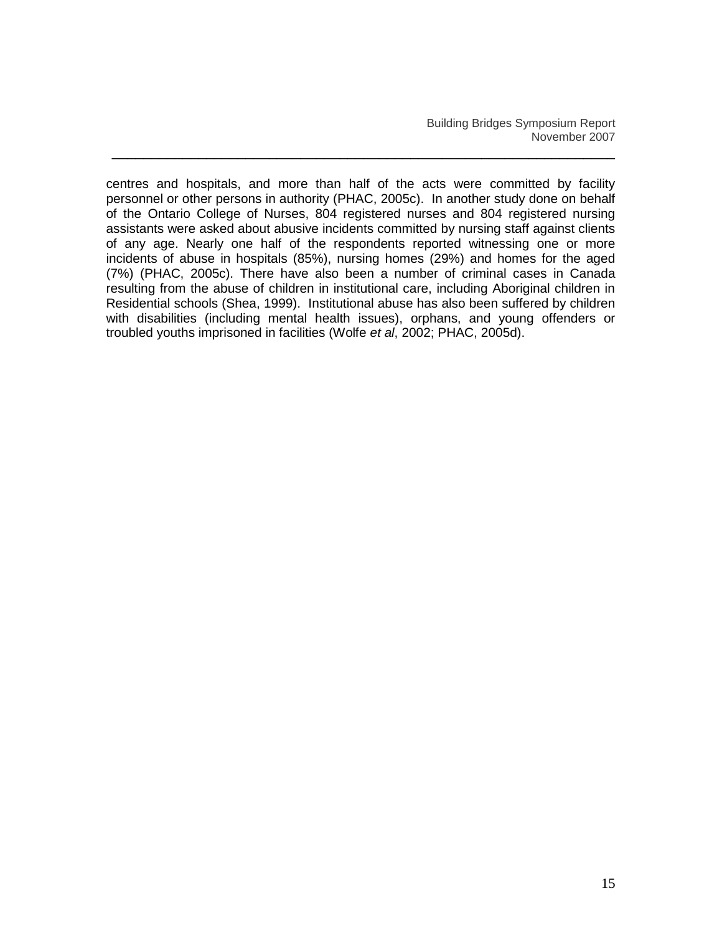Building Bridges Symposium Report November 2007

centres and hospitals, and more than half of the acts were committed by facility personnel or other persons in authority (PHAC, 2005c). In another study done on behalf of the Ontario College of Nurses, 804 registered nurses and 804 registered nursing assistants were asked about abusive incidents committed by nursing staff against clients of any age. Nearly one half of the respondents reported witnessing one or more incidents of abuse in hospitals (85%), nursing homes (29%) and homes for the aged (7%) (PHAC, 2005c). There have also been a number of criminal cases in Canada resulting from the abuse of children in institutional care, including Aboriginal children in Residential schools (Shea, 1999). Institutional abuse has also been suffered by children with disabilities (including mental health issues), orphans, and young offenders or troubled youths imprisoned in facilities (Wolfe *et al*, 2002; PHAC, 2005d).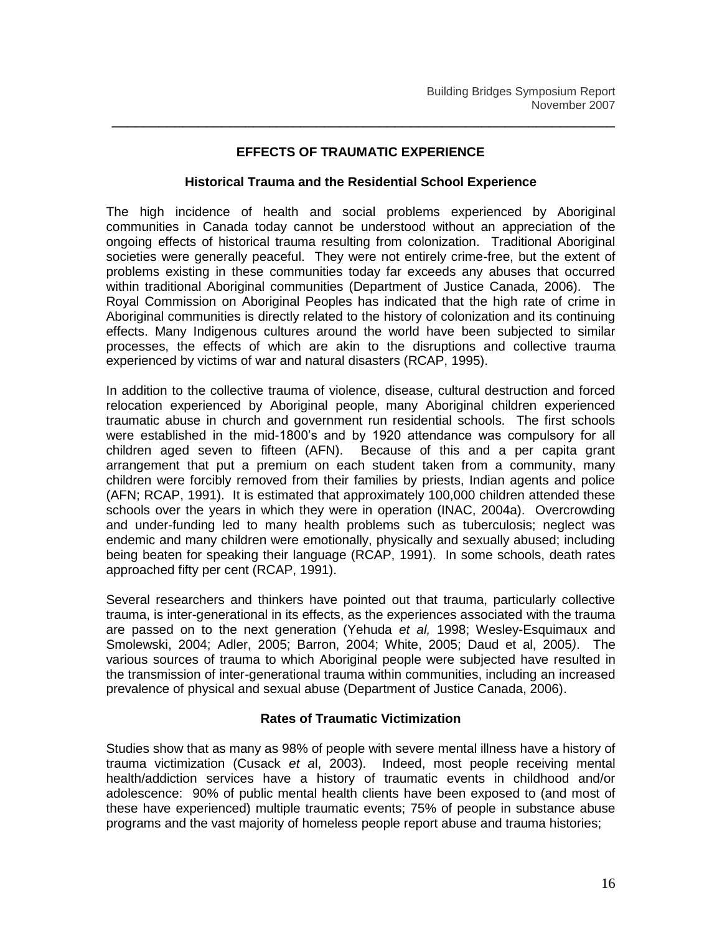#### **EFFECTS OF TRAUMATIC EXPERIENCE**

\_\_\_\_\_\_\_\_\_\_\_\_\_\_\_\_\_\_\_\_\_\_\_\_\_\_\_\_\_\_\_\_\_\_\_\_\_\_\_\_\_\_\_\_\_\_\_\_\_\_\_\_\_\_\_\_\_\_\_\_\_\_\_\_

#### **Historical Trauma and the Residential School Experience**

The high incidence of health and social problems experienced by Aboriginal communities in Canada today cannot be understood without an appreciation of the ongoing effects of historical trauma resulting from colonization. Traditional Aboriginal societies were generally peaceful. They were not entirely crime-free, but the extent of problems existing in these communities today far exceeds any abuses that occurred within traditional Aboriginal communities (Department of Justice Canada, 2006). The Royal Commission on Aboriginal Peoples has indicated that the high rate of crime in Aboriginal communities is directly related to the history of colonization and its continuing effects. Many Indigenous cultures around the world have been subjected to similar processes, the effects of which are akin to the disruptions and collective trauma experienced by victims of war and natural disasters (RCAP, 1995).

In addition to the collective trauma of violence, disease, cultural destruction and forced relocation experienced by Aboriginal people, many Aboriginal children experienced traumatic abuse in church and government run residential schools. The first schools were established in the mid-1800"s and by 1920 attendance was compulsory for all children aged seven to fifteen (AFN). Because of this and a per capita grant arrangement that put a premium on each student taken from a community, many children were forcibly removed from their families by priests, Indian agents and police (AFN; RCAP, 1991). It is estimated that approximately 100,000 children attended these schools over the years in which they were in operation (INAC, 2004a). Overcrowding and under-funding led to many health problems such as tuberculosis; neglect was endemic and many children were emotionally, physically and sexually abused; including being beaten for speaking their language (RCAP, 1991). In some schools, death rates approached fifty per cent (RCAP, 1991).

Several researchers and thinkers have pointed out that trauma, particularly collective trauma, is inter-generational in its effects, as the experiences associated with the trauma are passed on to the next generation (Yehuda *et al,* 1998; Wesley-Esquimaux and Smolewski, 2004; Adler, 2005; Barron, 2004; White, 2005; Daud et al, 2005*)*. The various sources of trauma to which Aboriginal people were subjected have resulted in the transmission of inter-generational trauma within communities, including an increased prevalence of physical and sexual abuse (Department of Justice Canada, 2006).

## **Rates of Traumatic Victimization**

Studies show that as many as 98% of people with severe mental illness have a history of trauma victimization (Cusack *et a*l, 2003). Indeed, most people receiving mental health/addiction services have a history of traumatic events in childhood and/or adolescence: 90% of public mental health clients have been exposed to (and most of these have experienced) multiple traumatic events; 75% of people in substance abuse programs and the vast majority of homeless people report abuse and trauma histories;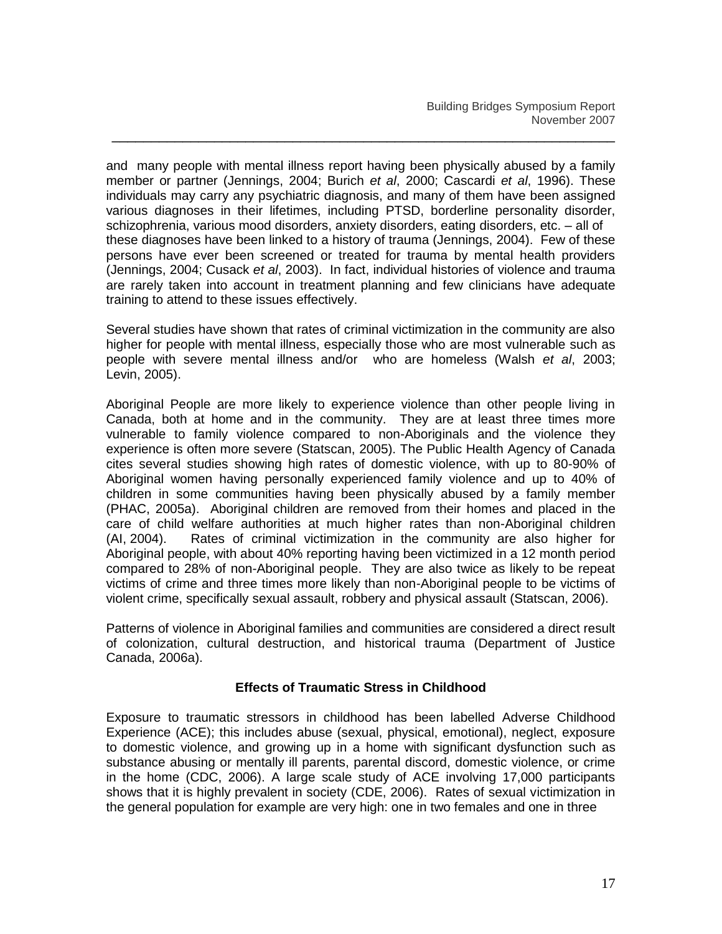and many people with mental illness report having been physically abused by a family member or partner (Jennings, 2004; Burich *et al*, 2000; Cascardi *et al*, 1996). These individuals may carry any psychiatric diagnosis, and many of them have been assigned various diagnoses in their lifetimes, including PTSD, borderline personality disorder, schizophrenia, various mood disorders, anxiety disorders, eating disorders, etc. – all of these diagnoses have been linked to a history of trauma (Jennings, 2004). Few of these persons have ever been screened or treated for trauma by mental health providers (Jennings, 2004; Cusack *et al*, 2003). In fact, individual histories of violence and trauma are rarely taken into account in treatment planning and few clinicians have adequate training to attend to these issues effectively.

\_\_\_\_\_\_\_\_\_\_\_\_\_\_\_\_\_\_\_\_\_\_\_\_\_\_\_\_\_\_\_\_\_\_\_\_\_\_\_\_\_\_\_\_\_\_\_\_\_\_\_\_\_\_\_\_\_\_\_\_\_\_\_\_

Several studies have shown that rates of criminal victimization in the community are also higher for people with mental illness, especially those who are most vulnerable such as people with severe mental illness and/or who are homeless (Walsh *et al*, 2003; Levin, 2005).

Aboriginal People are more likely to experience violence than other people living in Canada, both at home and in the community. They are at least three times more vulnerable to family violence compared to non-Aboriginals and the violence they experience is often more severe (Statscan, 2005). The Public Health Agency of Canada cites several studies showing high rates of domestic violence, with up to 80-90% of Aboriginal women having personally experienced family violence and up to 40% of children in some communities having been physically abused by a family member (PHAC, 2005a). Aboriginal children are removed from their homes and placed in the care of child welfare authorities at much higher rates than non-Aboriginal children (AI, 2004). Rates of criminal victimization in the community are also higher for Aboriginal people, with about 40% reporting having been victimized in a 12 month period compared to 28% of non-Aboriginal people. They are also twice as likely to be repeat victims of crime and three times more likely than non-Aboriginal people to be victims of violent crime, specifically sexual assault, robbery and physical assault (Statscan, 2006).

Patterns of violence in Aboriginal families and communities are considered a direct result of colonization, cultural destruction, and historical trauma (Department of Justice Canada, 2006a).

## **Effects of Traumatic Stress in Childhood**

Exposure to traumatic stressors in childhood has been labelled Adverse Childhood Experience (ACE); this includes abuse (sexual, physical, emotional), neglect, exposure to domestic violence, and growing up in a home with significant dysfunction such as substance abusing or mentally ill parents, parental discord, domestic violence, or crime in the home (CDC, 2006). A large scale study of ACE involving 17,000 participants shows that it is highly prevalent in society (CDE, 2006). Rates of sexual victimization in the general population for example are very high: one in two females and one in three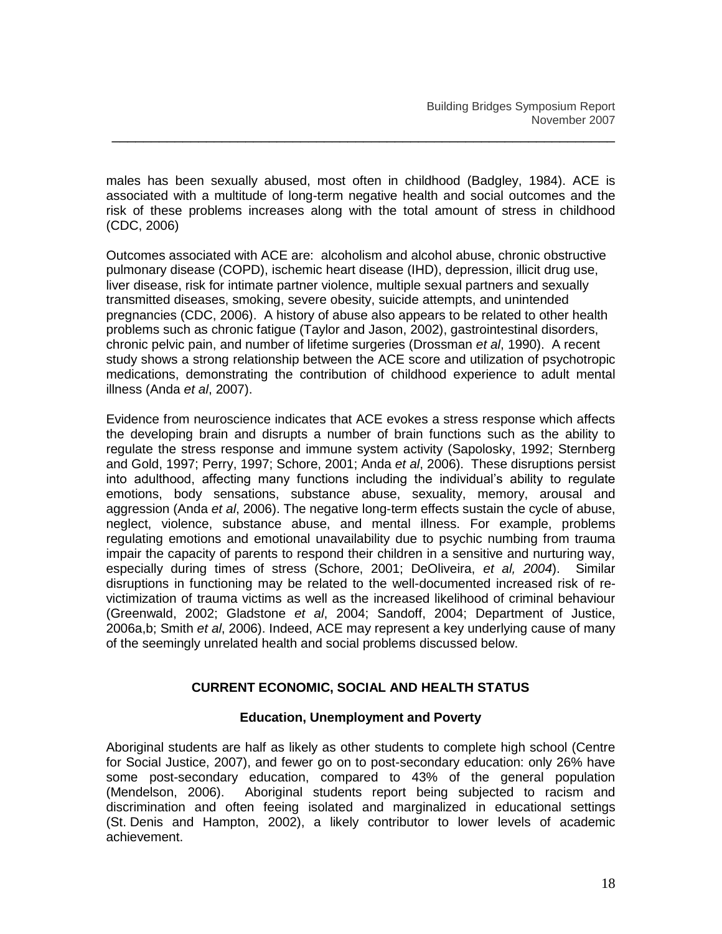males has been sexually abused, most often in childhood (Badgley, 1984). ACE is associated with a multitude of long-term negative health and social outcomes and the risk of these problems increases along with the total amount of stress in childhood (CDC, 2006)

\_\_\_\_\_\_\_\_\_\_\_\_\_\_\_\_\_\_\_\_\_\_\_\_\_\_\_\_\_\_\_\_\_\_\_\_\_\_\_\_\_\_\_\_\_\_\_\_\_\_\_\_\_\_\_\_\_\_\_\_\_\_\_\_

Outcomes associated with ACE are: alcoholism and alcohol abuse, chronic obstructive pulmonary disease (COPD), ischemic heart disease (IHD), depression, illicit drug use, liver disease, risk for intimate partner violence, multiple sexual partners and sexually transmitted diseases, smoking, severe obesity, suicide attempts, and unintended pregnancies (CDC, 2006). A history of abuse also appears to be related to other health problems such as chronic fatigue (Taylor and Jason, 2002), gastrointestinal disorders, chronic pelvic pain, and number of lifetime surgeries (Drossman *et al*, 1990). A recent study shows a strong relationship between the ACE score and utilization of psychotropic medications, demonstrating the contribution of childhood experience to adult mental illness (Anda *et al*, 2007).

Evidence from neuroscience indicates that ACE evokes a stress response which affects the developing brain and disrupts a number of brain functions such as the ability to regulate the stress response and immune system activity (Sapolosky, 1992; Sternberg and Gold, 1997; Perry, 1997; Schore, 2001; Anda *et al*, 2006). These disruptions persist into adulthood, affecting many functions including the individual"s ability to regulate emotions, body sensations, substance abuse, sexuality, memory, arousal and aggression (Anda *et al*, 2006). The negative long-term effects sustain the cycle of abuse, neglect, violence, substance abuse, and mental illness. For example, problems regulating emotions and emotional unavailability due to psychic numbing from trauma impair the capacity of parents to respond their children in a sensitive and nurturing way, especially during times of stress (Schore, 2001; DeOliveira, *et al, 2004*). Similar disruptions in functioning may be related to the well-documented increased risk of revictimization of trauma victims as well as the increased likelihood of criminal behaviour (Greenwald, 2002; Gladstone *et al*, 2004; Sandoff, 2004; Department of Justice, 2006a,b; Smith *et al*, 2006). Indeed, ACE may represent a key underlying cause of many of the seemingly unrelated health and social problems discussed below.

## **CURRENT ECONOMIC, SOCIAL AND HEALTH STATUS**

## **Education, Unemployment and Poverty**

Aboriginal students are half as likely as other students to complete high school (Centre for Social Justice, 2007), and fewer go on to post-secondary education: only 26% have some post-secondary education, compared to 43% of the general population (Mendelson, 2006). Aboriginal students report being subjected to racism and discrimination and often feeing isolated and marginalized in educational settings (St. Denis and Hampton, 2002), a likely contributor to lower levels of academic achievement.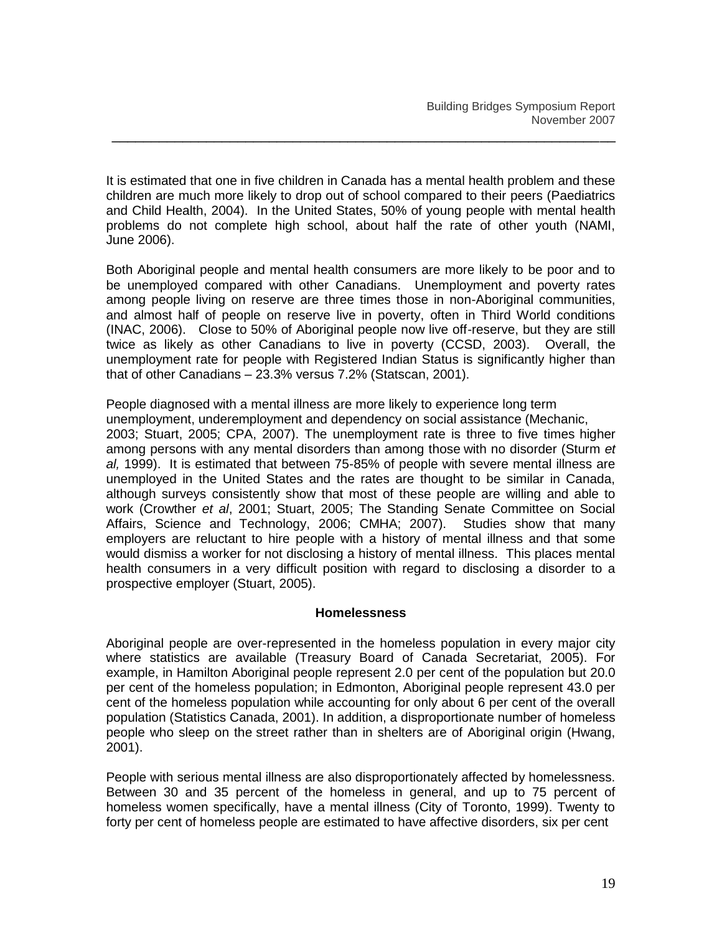It is estimated that one in five children in Canada has a mental health problem and these children are much more likely to drop out of school compared to their peers (Paediatrics and Child Health, 2004). In the United States, 50% of young people with mental health problems do not complete high school, about half the rate of other youth (NAMI, June 2006).

\_\_\_\_\_\_\_\_\_\_\_\_\_\_\_\_\_\_\_\_\_\_\_\_\_\_\_\_\_\_\_\_\_\_\_\_\_\_\_\_\_\_\_\_\_\_\_\_\_\_\_\_\_\_\_\_\_\_\_\_\_\_\_\_

Both Aboriginal people and mental health consumers are more likely to be poor and to be unemployed compared with other Canadians. Unemployment and poverty rates among people living on reserve are three times those in non-Aboriginal communities, and almost half of people on reserve live in poverty, often in Third World conditions (INAC, 2006). Close to 50% of Aboriginal people now live off-reserve, but they are still twice as likely as other Canadians to live in poverty (CCSD, 2003). Overall, the unemployment rate for people with Registered Indian Status is significantly higher than that of other Canadians – 23.3% versus 7.2% (Statscan, 2001).

People diagnosed with a mental illness are more likely to experience long term unemployment, underemployment and dependency on social assistance (Mechanic, 2003; Stuart, 2005; CPA, 2007). The unemployment rate is three to five times higher among persons with any mental disorders than among those with no disorder (Sturm *et al,* 1999). It is estimated that between 75-85% of people with severe mental illness are unemployed in the United States and the rates are thought to be similar in Canada, although surveys consistently show that most of these people are willing and able to work (Crowther *et al*, 2001; Stuart, 2005; The Standing Senate Committee on Social Affairs, Science and Technology, 2006; CMHA; 2007). Studies show that many employers are reluctant to hire people with a history of mental illness and that some would dismiss a worker for not disclosing a history of mental illness. This places mental health consumers in a very difficult position with regard to disclosing a disorder to a prospective employer (Stuart, 2005).

#### **Homelessness**

Aboriginal people are over-represented in the homeless population in every major city where statistics are available (Treasury Board of Canada Secretariat, 2005). For example, in Hamilton Aboriginal people represent 2.0 per cent of the population but 20.0 per cent of the homeless population; in Edmonton, Aboriginal people represent 43.0 per cent of the homeless population while accounting for only about 6 per cent of the overall population (Statistics Canada, 2001). In addition, a disproportionate number of homeless people who sleep on the street rather than in shelters are of Aboriginal origin (Hwang, 2001).

People with serious mental illness are also disproportionately affected by homelessness. Between 30 and 35 percent of the homeless in general, and up to 75 percent of homeless women specifically, have a mental illness (City of Toronto, 1999). Twenty to forty per cent of homeless people are estimated to have affective disorders, six per cent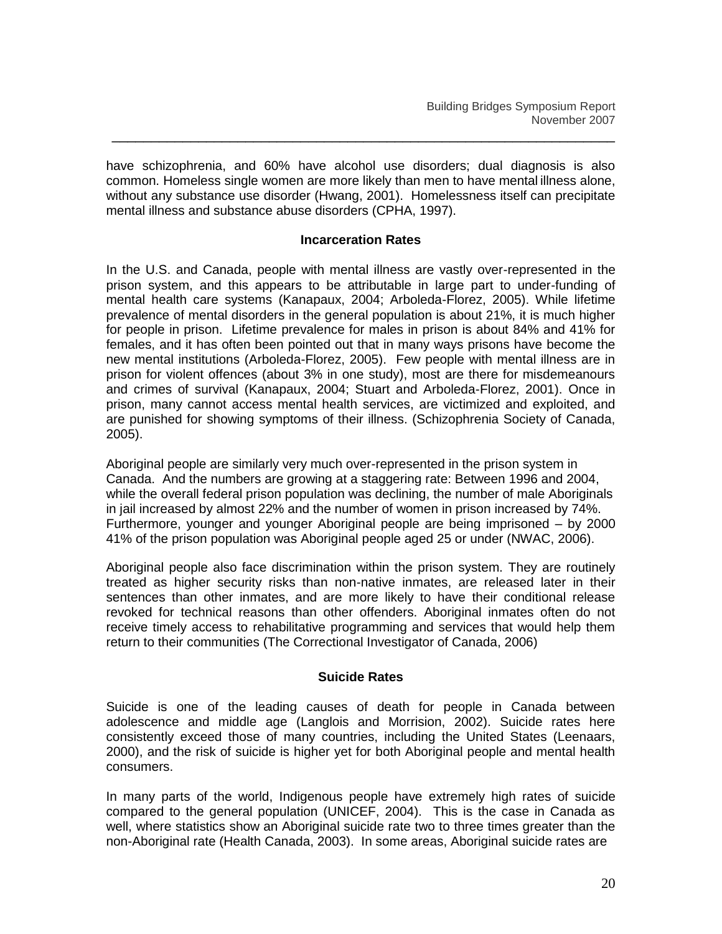have schizophrenia, and 60% have alcohol use disorders; dual diagnosis is also common. Homeless single women are more likely than men to have mental illness alone, without any substance use disorder (Hwang, 2001). Homelessness itself can precipitate mental illness and substance abuse disorders (CPHA, 1997).

\_\_\_\_\_\_\_\_\_\_\_\_\_\_\_\_\_\_\_\_\_\_\_\_\_\_\_\_\_\_\_\_\_\_\_\_\_\_\_\_\_\_\_\_\_\_\_\_\_\_\_\_\_\_\_\_\_\_\_\_\_\_\_\_

#### **Incarceration Rates**

In the U.S. and Canada, people with mental illness are vastly over-represented in the prison system, and this appears to be attributable in large part to under-funding of mental health care systems (Kanapaux, 2004; Arboleda-Florez, 2005). While lifetime prevalence of mental disorders in the general population is about 21%, it is much higher for people in prison. Lifetime prevalence for males in prison is about 84% and 41% for females, and it has often been pointed out that in many ways prisons have become the new mental institutions (Arboleda-Florez, 2005). Few people with mental illness are in prison for violent offences (about 3% in one study), most are there for misdemeanours and crimes of survival (Kanapaux, 2004; Stuart and Arboleda-Florez, 2001). Once in prison, many cannot access mental health services, are victimized and exploited, and are punished for showing symptoms of their illness. (Schizophrenia Society of Canada, 2005).

Aboriginal people are similarly very much over-represented in the prison system in Canada. And the numbers are growing at a staggering rate: Between 1996 and 2004, while the overall federal prison population was declining, the number of male Aboriginals in jail increased by almost 22% and the number of women in prison increased by 74%. Furthermore, younger and younger Aboriginal people are being imprisoned – by 2000 41% of the prison population was Aboriginal people aged 25 or under (NWAC, 2006).

Aboriginal people also face discrimination within the prison system. They are routinely treated as higher security risks than non-native inmates, are released later in their sentences than other inmates, and are more likely to have their conditional release revoked for technical reasons than other offenders. Aboriginal inmates often do not receive timely access to rehabilitative programming and services that would help them return to their communities (The Correctional Investigator of Canada, 2006)

## **Suicide Rates**

Suicide is one of the leading causes of death for people in Canada between adolescence and middle age (Langlois and Morrision, 2002). Suicide rates here consistently exceed those of many countries, including the United States (Leenaars, 2000), and the risk of suicide is higher yet for both Aboriginal people and mental health consumers.

In many parts of the world, Indigenous people have extremely high rates of suicide compared to the general population (UNICEF, 2004). This is the case in Canada as well, where statistics show an Aboriginal suicide rate two to three times greater than the non-Aboriginal rate (Health Canada, 2003). In some areas, Aboriginal suicide rates are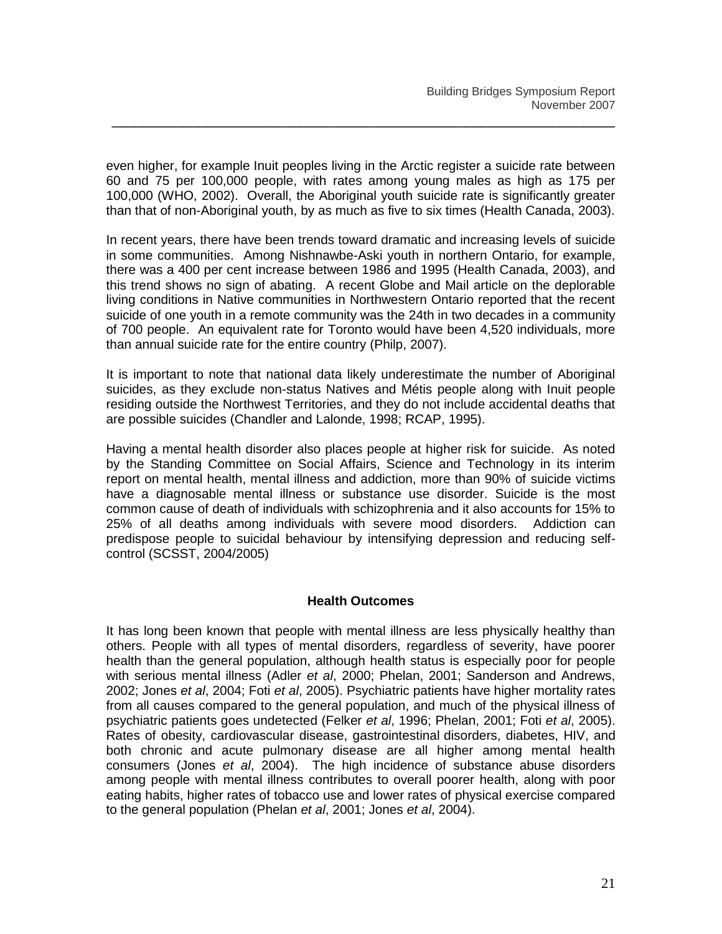even higher, for example Inuit peoples living in the Arctic register a suicide rate between 60 and 75 per 100,000 people, with rates among young males as high as 175 per 100,000 (WHO, 2002). Overall, the Aboriginal youth suicide rate is significantly greater than that of non-Aboriginal youth, by as much as five to six times (Health Canada, 2003).

\_\_\_\_\_\_\_\_\_\_\_\_\_\_\_\_\_\_\_\_\_\_\_\_\_\_\_\_\_\_\_\_\_\_\_\_\_\_\_\_\_\_\_\_\_\_\_\_\_\_\_\_\_\_\_\_\_\_\_\_\_\_\_\_

In recent years, there have been trends toward dramatic and increasing levels of suicide in some communities. Among Nishnawbe-Aski youth in northern Ontario, for example, there was a 400 per cent increase between 1986 and 1995 (Health Canada, 2003), and this trend shows no sign of abating. A recent Globe and Mail article on the deplorable living conditions in Native communities in Northwestern Ontario reported that the recent suicide of one youth in a remote community was the 24th in two decades in a community of 700 people. An equivalent rate for Toronto would have been 4,520 individuals, more than annual suicide rate for the entire country (Philp, 2007).

It is important to note that national data likely underestimate the number of Aboriginal suicides, as they exclude non-status Natives and Métis people along with Inuit people residing outside the Northwest Territories, and they do not include accidental deaths that are possible suicides (Chandler and Lalonde, 1998; RCAP, 1995).

Having a mental health disorder also places people at higher risk for suicide. As noted by the Standing Committee on Social Affairs, Science and Technology in its interim report on mental health, mental illness and addiction, more than 90% of suicide victims have a diagnosable mental illness or substance use disorder. Suicide is the most common cause of death of individuals with schizophrenia and it also accounts for 15% to 25% of all deaths among individuals with severe mood disorders. Addiction can predispose people to suicidal behaviour by intensifying depression and reducing selfcontrol (SCSST, 2004/2005)

## **Health Outcomes**

It has long been known that people with mental illness are less physically healthy than others. People with all types of mental disorders, regardless of severity, have poorer health than the general population, although health status is especially poor for people with serious mental illness (Adler *et al*, 2000; Phelan, 2001; Sanderson and Andrews, 2002; Jones *et al*, 2004; Foti *et al*, 2005). Psychiatric patients have higher mortality rates from all causes compared to the general population, and much of the physical illness of psychiatric patients goes undetected (Felker *et al*, 1996; Phelan, 2001; Foti *et al*, 2005). Rates of obesity, cardiovascular disease, gastrointestinal disorders, diabetes, HIV, and both chronic and acute pulmonary disease are all higher among mental health consumers (Jones *et al*, 2004). The high incidence of substance abuse disorders among people with mental illness contributes to overall poorer health, along with poor eating habits, higher rates of tobacco use and lower rates of physical exercise compared to the general population (Phelan *et al*, 2001; Jones *et al*, 2004).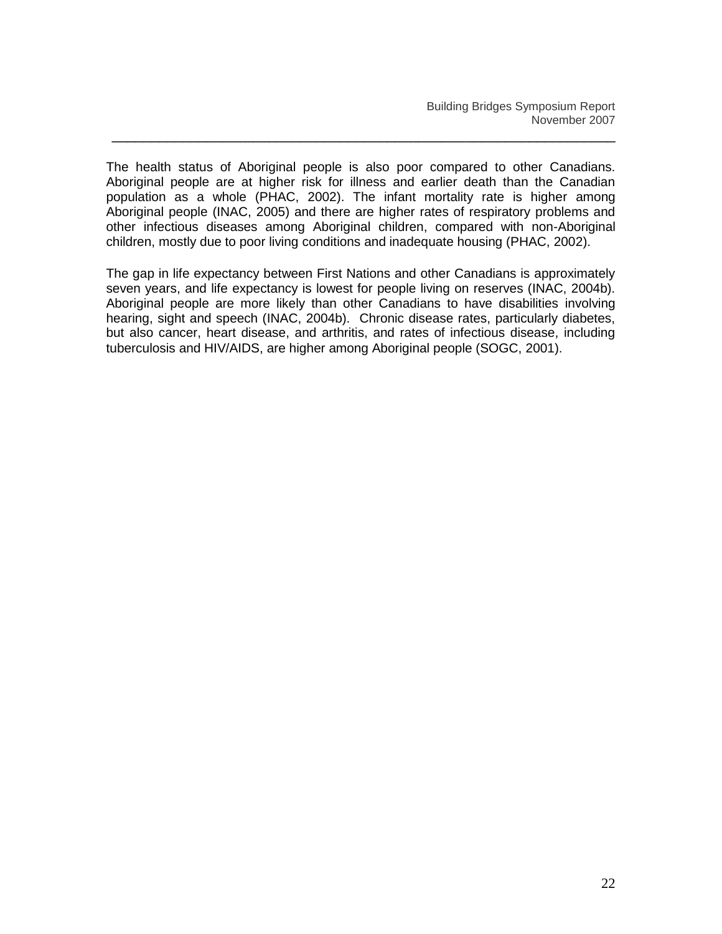The health status of Aboriginal people is also poor compared to other Canadians. Aboriginal people are at higher risk for illness and earlier death than the Canadian population as a whole (PHAC, 2002). The infant mortality rate is higher among Aboriginal people (INAC, 2005) and there are higher rates of respiratory problems and other infectious diseases among Aboriginal children, compared with non-Aboriginal children, mostly due to poor living conditions and inadequate housing (PHAC, 2002).

\_\_\_\_\_\_\_\_\_\_\_\_\_\_\_\_\_\_\_\_\_\_\_\_\_\_\_\_\_\_\_\_\_\_\_\_\_\_\_\_\_\_\_\_\_\_\_\_\_\_\_\_\_\_\_\_\_\_\_\_\_\_\_\_

The gap in life expectancy between First Nations and other Canadians is approximately seven years, and life expectancy is lowest for people living on reserves (INAC, 2004b). Aboriginal people are more likely than other Canadians to have disabilities involving hearing, sight and speech (INAC, 2004b). Chronic disease rates, particularly diabetes, but also cancer, heart disease, and arthritis, and rates of infectious disease, including tuberculosis and HIV/AIDS, are higher among Aboriginal people (SOGC, 2001).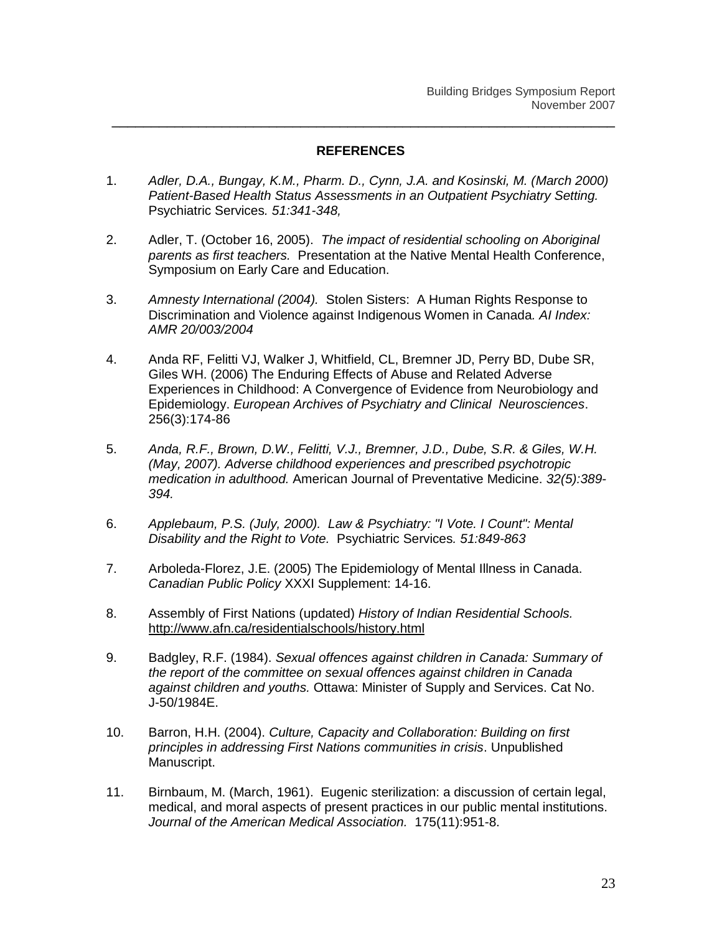## **REFERENCES**

- 1. *Adler, D.A., Bungay, K.M., Pharm. D., Cynn, J.A. and Kosinski, M. (March 2000) Patient-Based Health Status Assessments in an Outpatient Psychiatry Setting.*  Psychiatric Services*. 51:341-348,*
- 2. Adler, T. (October 16, 2005). *The impact of residential schooling on Aboriginal parents as first teachers.* Presentation at the Native Mental Health Conference, Symposium on Early Care and Education.
- 3. *Amnesty International (2004).* Stolen Sisters: A Human Rights Response to Discrimination and Violence against Indigenous Women in Canada*. AI Index: AMR 20/003/2004*
- 4. Anda RF, Felitti VJ, Walker J, Whitfield, CL, Bremner JD, Perry BD, Dube SR, Giles WH. (2006) The Enduring Effects of Abuse and Related Adverse Experiences in Childhood: A Convergence of Evidence from Neurobiology and Epidemiology. *European Archives of Psychiatry and Clinical Neurosciences*. 256(3):174-86
- 5. *Anda, R.F., Brown, D.W., Felitti, V.J., Bremner, J.D., Dube, S.R. & Giles, W.H. (May, 2007). Adverse childhood experiences and prescribed psychotropic medication in adulthood.* American Journal of Preventative Medicine. *32(5):389- 394.*
- 6. *Applebaum, P.S. (July, 2000). Law & Psychiatry: "I Vote. I Count": Mental Disability and the Right to Vote.* Psychiatric Services*. 51:849-863*
- 7. Arboleda-Florez, J.E. (2005) The Epidemiology of Mental Illness in Canada. *Canadian Public Policy* XXXI Supplement: 14-16.
- 8. Assembly of First Nations (updated) *History of Indian Residential Schools.* <http://www.afn.ca/residentialschools/history.html>
- 9. Badgley, R.F. (1984). *Sexual offences against children in Canada: Summary of the report of the committee on sexual offences against children in Canada against children and youths.* Ottawa: Minister of Supply and Services. Cat No. J-50/1984E.
- 10. Barron, H.H. (2004). *Culture, Capacity and Collaboration: Building on first principles in addressing First Nations communities in crisis*. Unpublished Manuscript.
- 11. Birnbaum, M. (March, 1961). Eugenic sterilization: a discussion of certain legal, medical, and moral aspects of present practices in our public mental institutions. *Journal of the American Medical Association.* 175(11):951-8.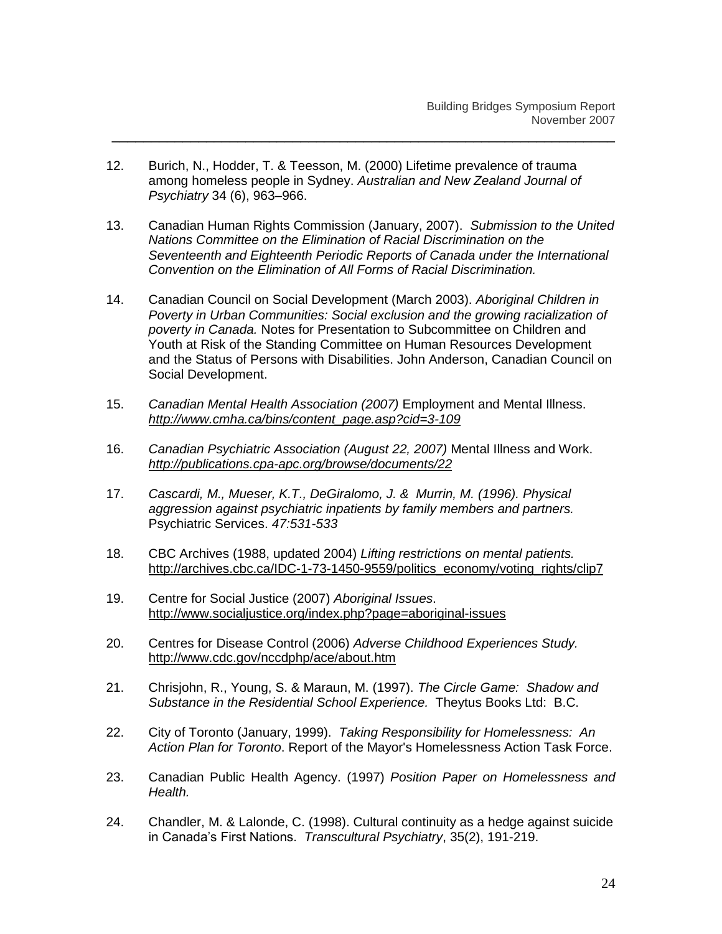- 12. Burich, N., Hodder, T. & Teesson, M. (2000) Lifetime prevalence of trauma among homeless people in Sydney. *Australian and New Zealand Journal of Psychiatry* 34 (6), 963–966.
- 13. Canadian Human Rights Commission (January, 2007). *Submission to the United Nations Committee on the Elimination of Racial Discrimination on the Seventeenth and Eighteenth Periodic Reports of Canada under the International Convention on the Elimination of All Forms of Racial Discrimination.*

- 14. Canadian Council on Social Development (March 2003). *Aboriginal Children in Poverty in Urban Communities: Social exclusion and the growing racialization of poverty in Canada.* Notes for Presentation to Subcommittee on Children and Youth at Risk of the Standing Committee on Human Resources Development and the Status of Persons with Disabilities. John Anderson, Canadian Council on Social Development.
- 15. *Canadian Mental Health Association (2007)* Employment and Mental Illness. *[http://www.cmha.ca/bins/content\\_page.asp?cid=3-109](http://www.cmha.ca/bins/content_page.asp?cid=3-109)*
- 16. *Canadian Psychiatric Association (August 22, 2007)* Mental Illness and Work. *<http://publications.cpa-apc.org/browse/documents/22>*
- 17. *Cascardi, M., Mueser, K.T., DeGiralomo, J. & Murrin, M. (1996). Physical aggression against psychiatric inpatients by family members and partners.*  Psychiatric Services. *47:531-533*
- 18. CBC Archives (1988, updated 2004) *Lifting restrictions on mental patients.* [http://archives.cbc.ca/IDC-1-73-1450-9559/politics\\_economy/voting\\_rights/clip7](http://archives.cbc.ca/IDC-1-73-1450-9559/politics_economy/voting_rights/clip7)
- 19. Centre for Social Justice (2007) *Aboriginal Issues*. <http://www.socialjustice.org/index.php?page=aboriginal-issues>
- 20. Centres for Disease Control (2006) *Adverse Childhood Experiences Study.*  <http://www.cdc.gov/nccdphp/ace/about.htm>
- 21. Chrisjohn, R., Young, S. & Maraun, M. (1997). *The Circle Game: Shadow and Substance in the Residential School Experience.* Theytus Books Ltd: B.C.
- 22. City of Toronto (January, 1999). *Taking Responsibility for Homelessness: An Action Plan for Toronto*. Report of the Mayor's Homelessness Action Task Force.
- 23. Canadian Public Health Agency. (1997) *Position Paper on Homelessness and Health.*
- 24. Chandler, M. & Lalonde, C. (1998). Cultural continuity as a hedge against suicide in Canada"s First Nations. *Transcultural Psychiatry*, 35(2), 191-219.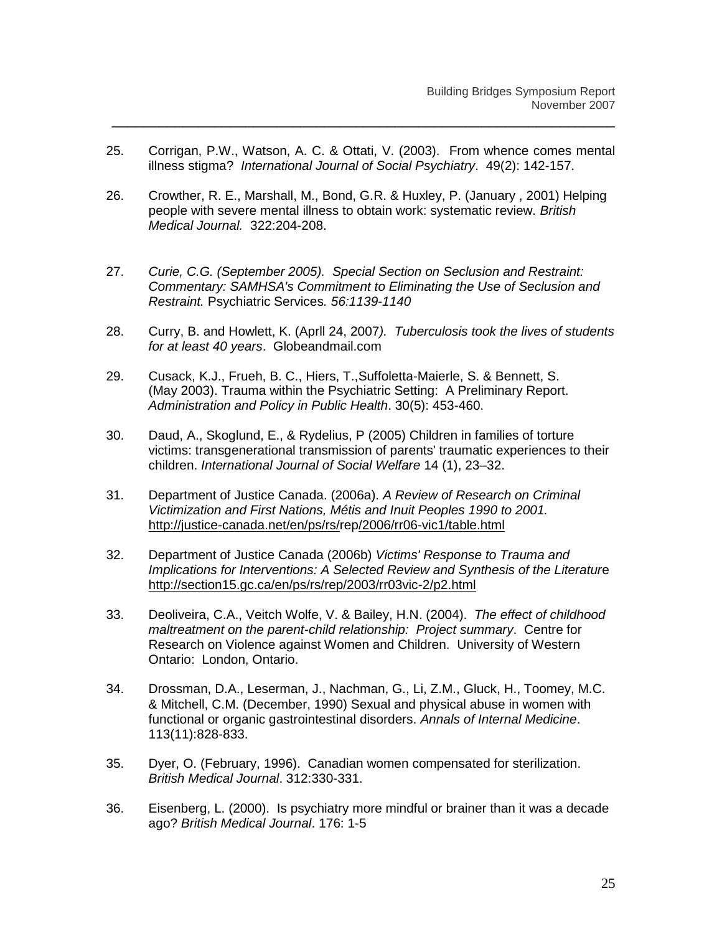25. Corrigan, P.W., Watson, A. C. & Ottati, V. (2003). From whence comes mental illness stigma? *International Journal of Social Psychiatry*. 49(2): 142-157.

- 26. Crowther, R. E., Marshall, M., Bond, G.R. & Huxley, P. (January , 2001) Helping people with severe mental illness to obtain work: systematic review. *British Medical Journal.* 322:204-208.
- 27. *Curie, C.G. (September 2005). Special Section on Seclusion and Restraint: Commentary: SAMHSA's Commitment to Eliminating the Use of Seclusion and Restraint.* Psychiatric Services*. 56:1139-1140*
- 28. Curry, B. and Howlett, K. (Aprll 24, 2007*). Tuberculosis took the lives of students for at least 40 years*. Globeandmail.com
- 29. Cusack, K.J., Frueh, B. C., Hiers, T.,Suffoletta-Maierle, S. & Bennett, S. (May 2003). Trauma within the Psychiatric Setting: A Preliminary Report. *Administration and Policy in Public Health*. 30(5): 453-460.
- 30. Daud, A., Skoglund, E., & Rydelius, P (2005) Children in families of torture victims: transgenerational transmission of parents' traumatic experiences to their children. *International Journal of Social Welfare* 14 (1), 23–32.
- 31. Department of Justice Canada. (2006a). *A Review of Research on Criminal Victimization and First Nations, Métis and Inuit Peoples 1990 to 2001.*  <http://justice-canada.net/en/ps/rs/rep/2006/rr06-vic1/table.html>
- 32. Department of Justice Canada (2006b) *Victims' Response to Trauma and Implications for Interventions: A Selected Review and Synthesis of the Literatur*e <http://section15.gc.ca/en/ps/rs/rep/2003/rr03vic-2/p2.html>
- 33. Deoliveira, C.A., Veitch Wolfe, V. & Bailey, H.N. (2004). *The effect of childhood maltreatment on the parent-child relationship: Project summary*. Centre for Research on Violence against Women and Children. University of Western Ontario: London, Ontario.
- 34. Drossman, D.A., Leserman, J., Nachman, G., Li, Z.M., Gluck, H., Toomey, M.C. & Mitchell, C.M. (December, 1990) Sexual and physical abuse in women with functional or organic gastrointestinal disorders. *Annals of Internal Medicine*. 113(11):828-833.
- 35. Dyer, O. (February, 1996). Canadian women compensated for sterilization. *British Medical Journal*. 312:330-331.
- 36. Eisenberg, L. (2000). Is psychiatry more mindful or brainer than it was a decade ago? *British Medical Journal*. 176: 1-5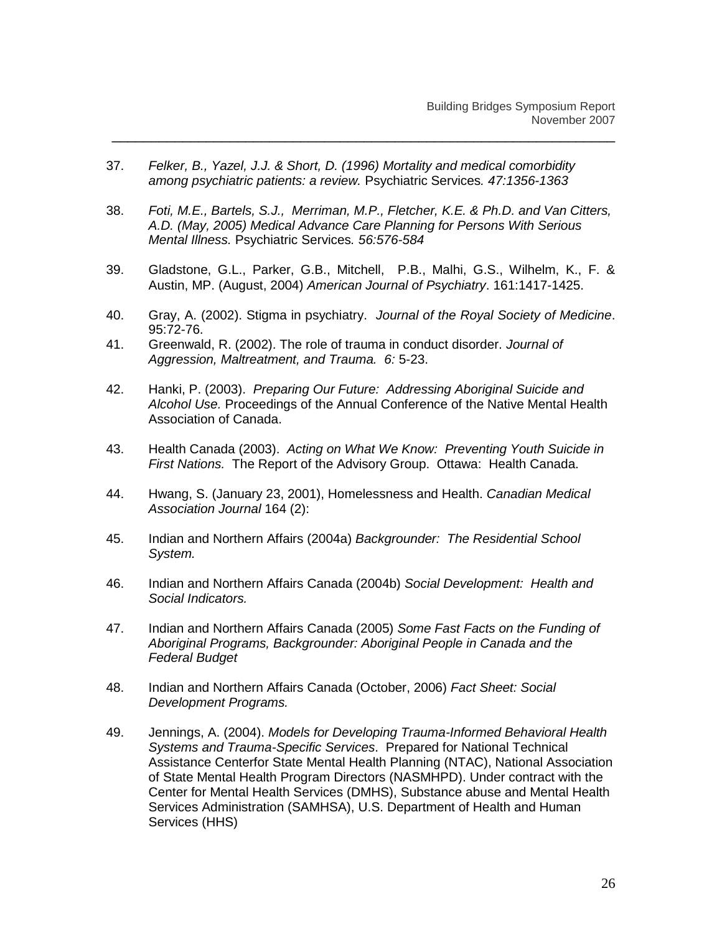- 37. *Felker, B., Yazel, J.J. & Short, D. (1996) Mortality and medical comorbidity among psychiatric patients: a review.* Psychiatric Services*. 47:1356-1363*
- 38. *Foti, M.E., Bartels, S.J., Merriman, M.P., Fletcher, K.E. & Ph.D. and Van Citters, A.D. (May, 2005) Medical Advance Care Planning for Persons With Serious Mental Illness.* Psychiatric Services*. 56:576-584*

- 39. Gladstone, G.L., Parker, G.B., Mitchell, P.B., Malhi, G.S., Wilhelm, K., F. & Austin, MP. (August, 2004) *American Journal of Psychiatry*. 161:1417-1425.
- 40. Gray, A. (2002). Stigma in psychiatry. *Journal of the Royal Society of Medicine*. 95:72-76.
- 41. Greenwald, R. (2002). The role of trauma in conduct disorder. *Journal of Aggression, Maltreatment, and Trauma. 6:* 5-23.
- 42. Hanki, P. (2003). *Preparing Our Future: Addressing Aboriginal Suicide and Alcohol Use.* Proceedings of the Annual Conference of the Native Mental Health Association of Canada.
- 43. Health Canada (2003). *Acting on What We Know: Preventing Youth Suicide in First Nations.* The Report of the Advisory Group. Ottawa: Health Canada.
- 44. Hwang, S. (January 23, 2001), Homelessness and Health. *Canadian Medical Association Journal* 164 (2):
- 45. Indian and Northern Affairs (2004a) *Backgrounder: The Residential School System.*
- 46. Indian and Northern Affairs Canada (2004b) *Social Development: Health and Social Indicators.*
- 47. Indian and Northern Affairs Canada (2005) *Some Fast Facts on the Funding of Aboriginal Programs, Backgrounder: Aboriginal People in Canada and the Federal Budget*
- 48. Indian and Northern Affairs Canada (October, 2006) *Fact Sheet: Social Development Programs.*
- 49. Jennings, A. (2004). *Models for Developing Trauma-Informed Behavioral Health Systems and Trauma-Specific Services*. Prepared for National Technical Assistance Centerfor State Mental Health Planning (NTAC), National Association of State Mental Health Program Directors (NASMHPD). Under contract with the Center for Mental Health Services (DMHS), Substance abuse and Mental Health Services Administration (SAMHSA), U.S. Department of Health and Human Services (HHS)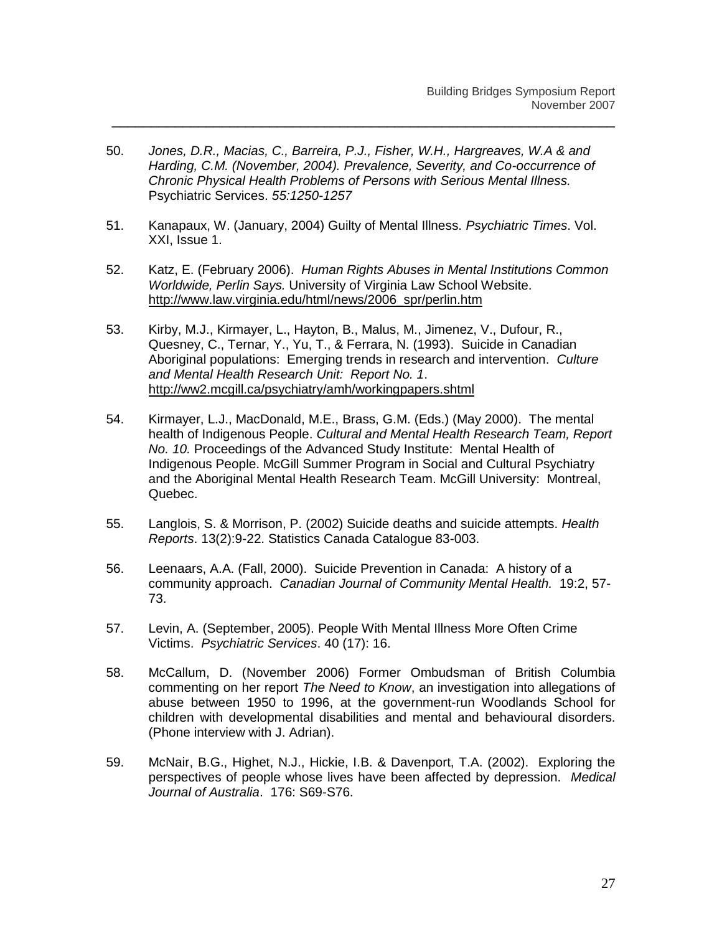50. *Jones, D.R., Macias, C., Barreira, P.J., Fisher, W.H., Hargreaves, W.A & and Harding, C.M. (November, 2004). Prevalence, Severity, and Co-occurrence of Chronic Physical Health Problems of Persons with Serious Mental Illness.*  Psychiatric Services. *55:1250-1257*

- 51. Kanapaux, W. (January, 2004) Guilty of Mental Illness. *Psychiatric Times*. Vol. XXI, Issue 1.
- 52. Katz, E. (February 2006). *Human Rights Abuses in Mental Institutions Common Worldwide, Perlin Says.* University of Virginia Law School Website. [http://www.law.virginia.edu/html/news/2006\\_spr/perlin.htm](http://www.law.virginia.edu/html/news/2006_spr/perlin.htm)
- 53. Kirby, M.J., Kirmayer, L., Hayton, B., Malus, M., Jimenez, V., Dufour, R., Quesney, C., Ternar, Y., Yu, T., & Ferrara, N. (1993). Suicide in Canadian Aboriginal populations: Emerging trends in research and intervention. *Culture and Mental Health Research Unit: Report No. 1*. <http://ww2.mcgill.ca/psychiatry/amh/workingpapers.shtml>
- 54. Kirmayer, L.J., MacDonald, M.E., Brass, G.M. (Eds.) (May 2000). The mental health of Indigenous People. *Cultural and Mental Health Research Team, Report No. 10.* Proceedings of the Advanced Study Institute: Mental Health of Indigenous People. McGill Summer Program in Social and Cultural Psychiatry and the Aboriginal Mental Health Research Team. McGill University: Montreal, Quebec.
- 55. Langlois, S. & Morrison, P. (2002) Suicide deaths and suicide attempts. *Health Reports*. 13(2):9-22. Statistics Canada Catalogue 83-003.
- 56. Leenaars, A.A. (Fall, 2000). Suicide Prevention in Canada: A history of a community approach. *Canadian Journal of Community Mental Health.* 19:2, 57- 73.
- 57. Levin, A. (September, 2005). People With Mental Illness More Often Crime Victims. *Psychiatric Services*. 40 (17): 16.
- 58. McCallum, D. (November 2006) Former Ombudsman of British Columbia commenting on her report *The Need to Know*, an investigation into allegations of abuse between 1950 to 1996, at the government-run Woodlands School for children with developmental disabilities and mental and behavioural disorders. (Phone interview with J. Adrian).
- 59. McNair, B.G., Highet, N.J., Hickie, I.B. & Davenport, T.A. (2002). Exploring the perspectives of people whose lives have been affected by depression. *Medical Journal of Australia*. 176: S69-S76.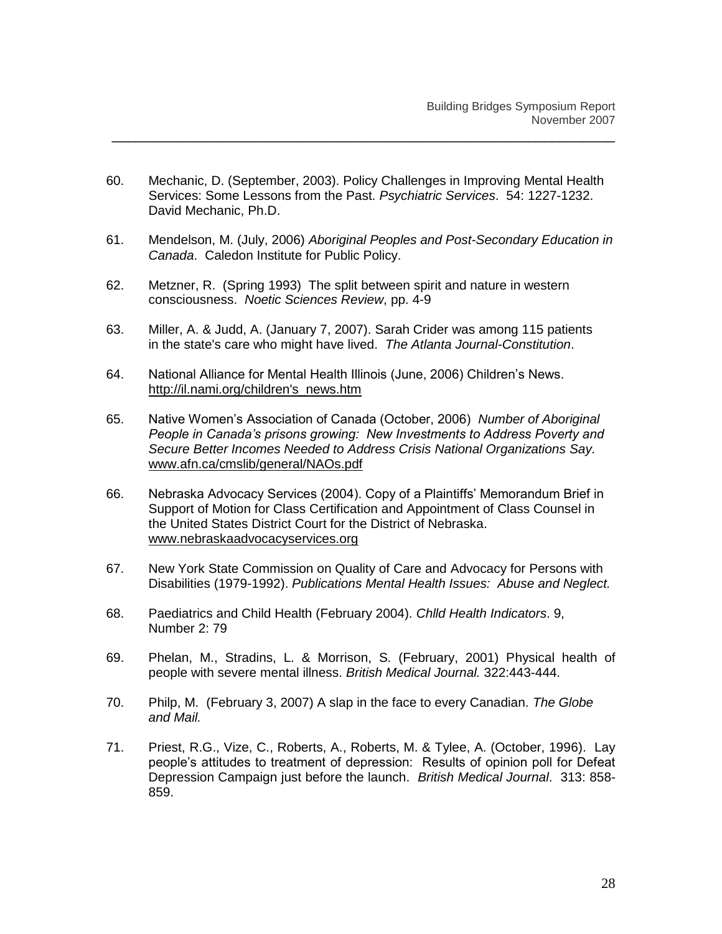60. Mechanic, D. (September, 2003). Policy Challenges in Improving Mental Health Services: Some Lessons from the Past. *Psychiatric Services*. 54: 1227-1232. David Mechanic, Ph.D.

- 61. Mendelson, M. (July, 2006) *Aboriginal Peoples and Post-Secondary Education in Canada*. Caledon Institute for Public Policy.
- 62. Metzner, R. (Spring 1993) The split between spirit and nature in western consciousness. *Noetic Sciences Review*, pp. 4-9
- 63. Miller, A. & Judd, A. (January 7, 2007). Sarah Crider was among 115 patients in the state's care who might have lived. *The Atlanta Journal-Constitution*.
- 64. National Alliance for Mental Health Illinois (June, 2006) Children"s News. [http://il.nami.org/children's\\_news.htm](http://il.nami.org/children)
- 65. Native Women"s Association of Canada (October, 2006) *Number of Aboriginal People in Canada's prisons growing: New Investments to Address Poverty and Secure Better Incomes Needed to Address Crisis National Organizations Say.* [www.afn.ca/cmslib/general/NAOs.pdf](http://www.afn.ca/cmslib/general/NAOs.pdf)
- 66. Nebraska Advocacy Services (2004). Copy of a Plaintiffs" Memorandum Brief in Support of Motion for Class Certification and Appointment of Class Counsel in the United States District Court for the District of Nebraska. [www.nebraskaadvocacyservices.org](http://www.nebraskaadvocacyservices.org/)
- 67. New York State Commission on Quality of Care and Advocacy for Persons with Disabilities (1979-1992). *Publications Mental Health Issues: Abuse and Neglect.*
- 68. Paediatrics and Child Health (February 2004). *Chlld Health Indicators*. 9, Number 2: 79
- 69. Phelan, M., Stradins, L. & Morrison, S. (February, 2001) Physical health of people with severe mental illness. *British Medical Journal.* 322:443-444.
- 70. Philp, M. (February 3, 2007) A slap in the face to every Canadian. *The Globe and Mail.*
- 71. Priest, R.G., Vize, C., Roberts, A., Roberts, M. & Tylee, A. (October, 1996). Lay people"s attitudes to treatment of depression: Results of opinion poll for Defeat Depression Campaign just before the launch. *British Medical Journal*. 313: 858- 859.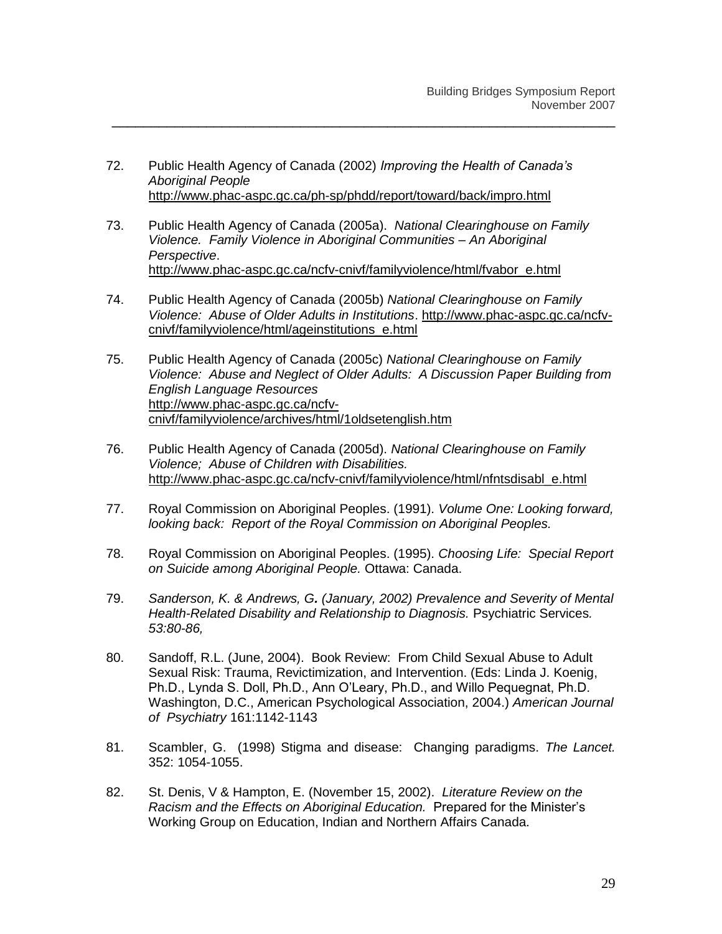72. Public Health Agency of Canada (2002) *Improving the Health of Canada's Aboriginal People* <http://www.phac-aspc.gc.ca/ph-sp/phdd/report/toward/back/impro.html>

- 73. Public Health Agency of Canada (2005a). *National Clearinghouse on Family Violence. Family Violence in Aboriginal Communities – An Aboriginal Perspective*. [http://www.phac-aspc.gc.ca/ncfv-cnivf/familyviolence/html/fvabor\\_e.html](http://www.phac-aspc.gc.ca/ncfv-cnivf/familyviolence/html/fvabor_e.html)
- 74. Public Health Agency of Canada (2005b) *National Clearinghouse on Family Violence: Abuse of Older Adults in Institutions*. [http://www.phac-aspc.gc.ca/ncfv](http://www.phac-aspc.gc.ca/ncfv-cnivf/familyviolence/html/ageinstitutions_e.html)[cnivf/familyviolence/html/ageinstitutions\\_e.html](http://www.phac-aspc.gc.ca/ncfv-cnivf/familyviolence/html/ageinstitutions_e.html)
- 75. Public Health Agency of Canada (2005c) *National Clearinghouse on Family Violence: Abuse and Neglect of Older Adults: A Discussion Paper Building from English Language Resources*  [http://www.phac-aspc.gc.ca/ncfv](http://www.phac-aspc.gc.ca/ncfv-cnivf/familyviolence/archives/html/1oldsetenglish.htm)[cnivf/familyviolence/archives/html/1oldsetenglish.htm](http://www.phac-aspc.gc.ca/ncfv-cnivf/familyviolence/archives/html/1oldsetenglish.htm)
- 76. Public Health Agency of Canada (2005d). *National Clearinghouse on Family Violence; Abuse of Children with Disabilities.*  [http://www.phac-aspc.gc.ca/ncfv-cnivf/familyviolence/html/nfntsdisabl\\_e.html](http://www.phac-aspc.gc.ca/ncfv-cnivf/familyviolence/html/nfntsdisabl_e.html)
- 77. Royal Commission on Aboriginal Peoples. (1991). *Volume One: Looking forward, looking back: Report of the Royal Commission on Aboriginal Peoples.*
- 78. Royal Commission on Aboriginal Peoples. (1995). *Choosing Life: Special Report on Suicide among Aboriginal People.* Ottawa: Canada.
- 79. *Sanderson, K. & Andrews, G. (January, 2002) Prevalence and Severity of Mental Health-Related Disability and Relationship to Diagnosis.* Psychiatric Services*. 53:80-86,*
- 80. Sandoff, R.L. (June, 2004). Book Review: From Child Sexual Abuse to Adult Sexual Risk: Trauma, Revictimization, and Intervention. (Eds: Linda J. Koenig, Ph.D., Lynda S. Doll, Ph.D., Ann O"Leary, Ph.D., and Willo Pequegnat, Ph.D. Washington, D.C., American Psychological Association, 2004.) *American Journal of Psychiatry* 161:1142-1143
- 81. Scambler, G. (1998) Stigma and disease: Changing paradigms. *The Lancet.* 352: 1054-1055.
- 82. St. Denis, V & Hampton, E. (November 15, 2002). *Literature Review on the Racism and the Effects on Aboriginal Education.* Prepared for the Minister"s Working Group on Education, Indian and Northern Affairs Canada.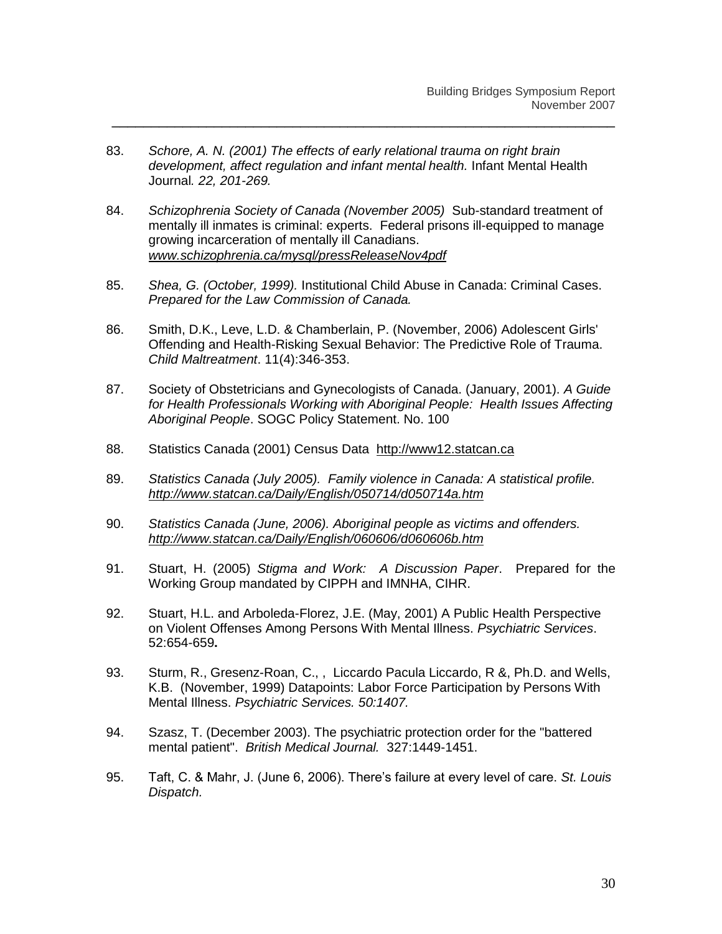83. *Schore, A. N. (2001) The effects of early relational trauma on right brain development, affect regulation and infant mental health.* Infant Mental Health Journal*. 22, 201-269.*

- 84. *Schizophrenia Society of Canada (November 2005)* Sub-standard treatment of mentally ill inmates is criminal: experts. Federal prisons ill-equipped to manage growing incarceration of mentally ill Canadians. *[www.schizophrenia.ca/mysql/pressReleaseNov4pdf](http://www.schizophrenia.ca/mysql/pressReleaseNov4pdf)*
- 85. *Shea, G. (October, 1999).* Institutional Child Abuse in Canada: Criminal Cases. *Prepared for the Law Commission of Canada.*
- 86. Smith, D.K., Leve, L.D. & Chamberlain, P. (November, 2006) Adolescent Girls' Offending and Health-Risking Sexual Behavior: The Predictive Role of Trauma. *Child Maltreatment*. 11(4):346-353.
- 87. Society of Obstetricians and Gynecologists of Canada. (January, 2001). *A Guide for Health Professionals Working with Aboriginal People: Health Issues Affecting Aboriginal People*. SOGC Policy Statement. No. 100
- 88. Statistics Canada (2001) Census Data http://www12.statcan.ca
- 89. *Statistics Canada (July 2005). Family violence in Canada: A statistical profile. <http://www.statcan.ca/Daily/English/050714/d050714a.htm>*
- 90. *Statistics Canada (June, 2006). Aboriginal people as victims and offenders. <http://www.statcan.ca/Daily/English/060606/d060606b.htm>*
- 91. Stuart, H. (2005) *Stigma and Work: A Discussion Paper*. Prepared for the Working Group mandated by CIPPH and IMNHA, CIHR.
- 92. Stuart, H.L. and Arboleda-Florez, J.E. (May, 2001) A Public Health Perspective on Violent Offenses Among Persons With Mental Illness. *Psychiatric Services*. 52:654-659**.**
- 93. Sturm, R., Gresenz-Roan, C., , Liccardo Pacula Liccardo, R &, Ph.D. and Wells, K.B. (November, 1999) Datapoints: Labor Force Participation by Persons With Mental Illness. *Psychiatric Services. 50:1407.*
- 94. Szasz, T. (December 2003). The psychiatric protection order for the "battered mental patient". *British Medical Journal.* 327:1449-1451.
- 95. Taft, C. & Mahr, J. (June 6, 2006). There"s failure at every level of care. *St. Louis Dispatch.*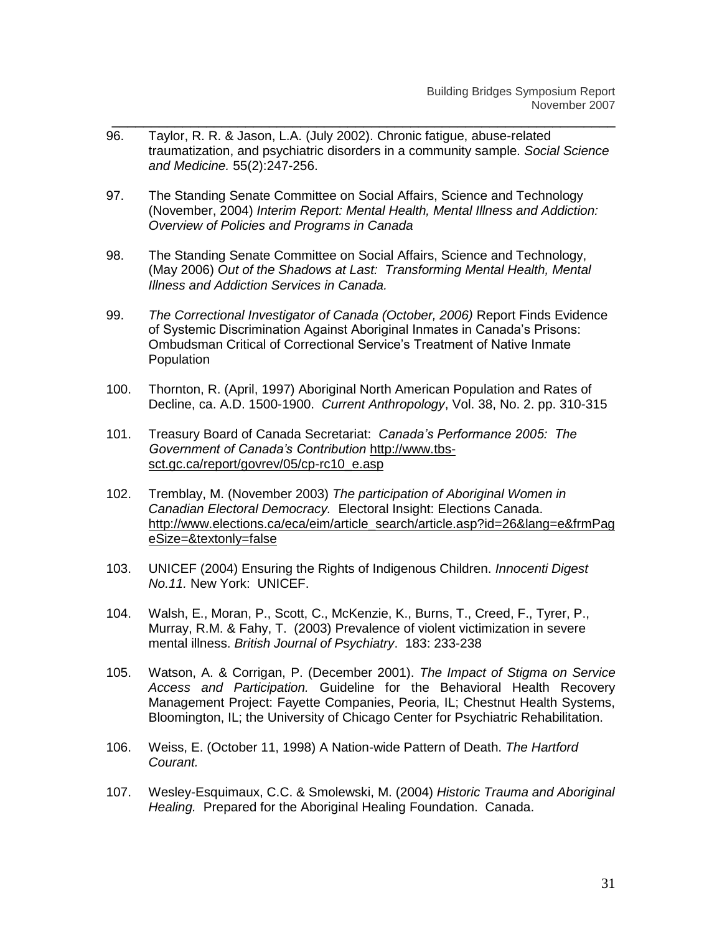96. Taylor, R. R. & Jason, L.A. (July 2002). Chronic fatigue, abuse-related traumatization, and psychiatric disorders in a community sample. *Social Science and Medicine.* 55(2):247-256.

- 97. The Standing Senate Committee on Social Affairs, Science and Technology (November, 2004) *Interim Report: Mental Health, Mental Illness and Addiction: Overview of Policies and Programs in Canada*
- 98. The Standing Senate Committee on Social Affairs, Science and Technology, (May 2006) *Out of the Shadows at Last: Transforming Mental Health, Mental Illness and Addiction Services in Canada.*
- 99. *The Correctional Investigator of Canada (October, 2006)* Report Finds Evidence of Systemic Discrimination Against Aboriginal Inmates in Canada"s Prisons: Ombudsman Critical of Correctional Service"s Treatment of Native Inmate **Population**
- 100. Thornton, R. (April, 1997) Aboriginal North American Population and Rates of Decline, ca. A.D. 1500-1900. *Current Anthropology*, Vol. 38, No. 2. pp. 310-315
- 101. Treasury Board of Canada Secretariat: *Canada's Performance 2005: The Government of Canada's Contribution* [http://www.tbs](http://www.tbs-sct.gc.ca/report/govrev/05/cp-rc10_e.asp)[sct.gc.ca/report/govrev/05/cp-rc10\\_e.asp](http://www.tbs-sct.gc.ca/report/govrev/05/cp-rc10_e.asp)
- 102. Tremblay, M. (November 2003) *The participation of Aboriginal Women in Canadian Electoral Democracy.* Electoral Insight: Elections Canada. [http://www.elections.ca/eca/eim/article\\_search/article.asp?id=26&lang=e&frmPag](http://www.elections.ca/eca/eim/article_search/article.asp?id=26&lang=e&frmPageSize=&textonly=false) [eSize=&textonly=false](http://www.elections.ca/eca/eim/article_search/article.asp?id=26&lang=e&frmPageSize=&textonly=false)
- 103. UNICEF (2004) Ensuring the Rights of Indigenous Children. *Innocenti Digest No.11.* New York: UNICEF.
- 104. Walsh, E., Moran, P., Scott, C., McKenzie, K., Burns, T., Creed, F., Tyrer, P., Murray, R.M. & Fahy, T. (2003) Prevalence of violent victimization in severe mental illness. *British Journal of Psychiatry*. 183: 233-238
- 105. Watson, A. & Corrigan, P. (December 2001). *The Impact of Stigma on Service Access and Participation.* Guideline for the Behavioral Health Recovery Management Project: Fayette Companies, Peoria, IL; Chestnut Health Systems, Bloomington, IL; the University of Chicago Center for Psychiatric Rehabilitation.
- 106. Weiss, E. (October 11, 1998) A Nation-wide Pattern of Death. *The Hartford Courant.*
- 107. Wesley-Esquimaux, C.C. & Smolewski, M. (2004) *Historic Trauma and Aboriginal Healing.* Prepared for the Aboriginal Healing Foundation. Canada.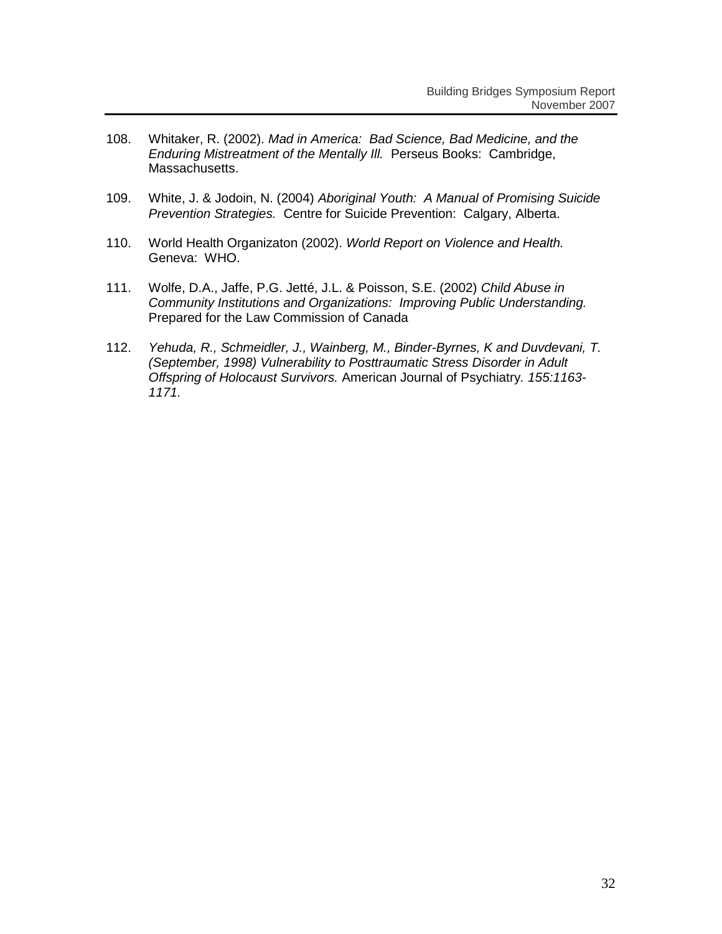- 108. Whitaker, R. (2002). *Mad in America: Bad Science, Bad Medicine, and the Enduring Mistreatment of the Mentally Ill.* Perseus Books: Cambridge, Massachusetts.
- 109. White, J. & Jodoin, N. (2004) *Aboriginal Youth: A Manual of Promising Suicide Prevention Strategies.* Centre for Suicide Prevention: Calgary, Alberta.
- 110. World Health Organizaton (2002). *World Report on Violence and Health.*  Geneva: WHO.
- 111. Wolfe, D.A., Jaffe, P.G. Jetté, J.L. & Poisson, S.E. (2002) *Child Abuse in Community Institutions and Organizations: Improving Public Understanding.*  Prepared for the Law Commission of Canada
- 112. *Yehuda, R., Schmeidler, J., Wainberg, M., Binder-Byrnes, K and Duvdevani, T. (September, 1998) Vulnerability to Posttraumatic Stress Disorder in Adult Offspring of Holocaust Survivors.* American Journal of Psychiatry*. 155:1163- 1171.*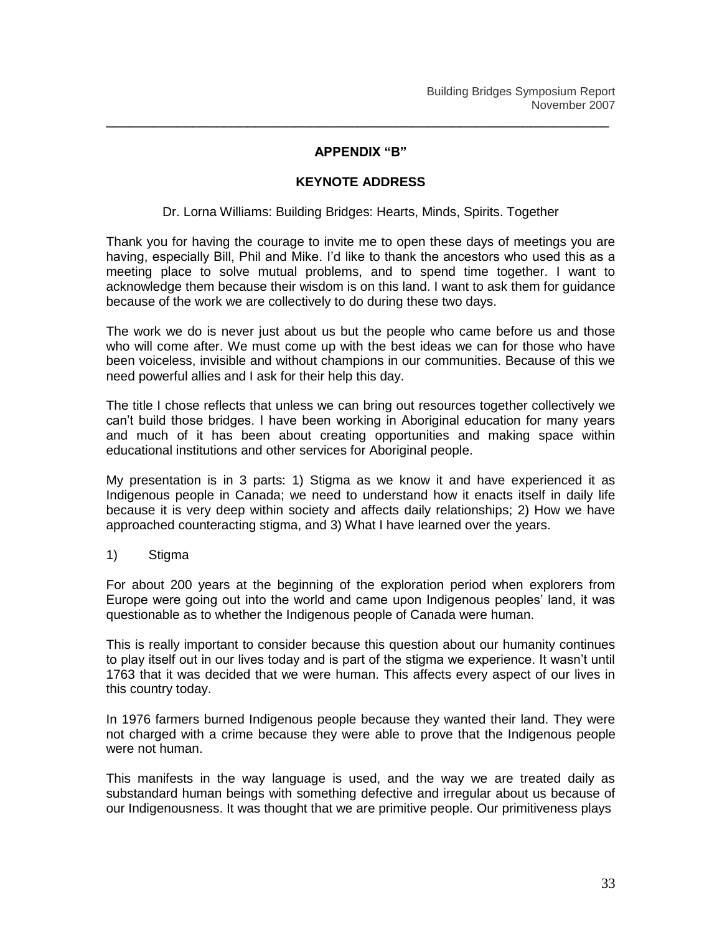#### **APPENDIX "B"**

\_\_\_\_\_\_\_\_\_\_\_\_\_\_\_\_\_\_\_\_\_\_\_\_\_\_\_\_\_\_\_\_\_\_\_\_\_\_\_\_\_\_\_\_\_\_\_\_\_\_\_\_\_\_\_\_\_\_\_\_\_\_\_\_

## **KEYNOTE ADDRESS**

Dr. Lorna Williams: Building Bridges: Hearts, Minds, Spirits. Together

Thank you for having the courage to invite me to open these days of meetings you are having, especially Bill, Phil and Mike. I'd like to thank the ancestors who used this as a meeting place to solve mutual problems, and to spend time together. I want to acknowledge them because their wisdom is on this land. I want to ask them for guidance because of the work we are collectively to do during these two days.

The work we do is never just about us but the people who came before us and those who will come after. We must come up with the best ideas we can for those who have been voiceless, invisible and without champions in our communities. Because of this we need powerful allies and I ask for their help this day.

The title I chose reflects that unless we can bring out resources together collectively we can"t build those bridges. I have been working in Aboriginal education for many years and much of it has been about creating opportunities and making space within educational institutions and other services for Aboriginal people.

My presentation is in 3 parts: 1) Stigma as we know it and have experienced it as Indigenous people in Canada; we need to understand how it enacts itself in daily life because it is very deep within society and affects daily relationships; 2) How we have approached counteracting stigma, and 3) What I have learned over the years.

1) Stigma

For about 200 years at the beginning of the exploration period when explorers from Europe were going out into the world and came upon Indigenous peoples" land, it was questionable as to whether the Indigenous people of Canada were human.

This is really important to consider because this question about our humanity continues to play itself out in our lives today and is part of the stigma we experience. It wasn"t until 1763 that it was decided that we were human. This affects every aspect of our lives in this country today.

In 1976 farmers burned Indigenous people because they wanted their land. They were not charged with a crime because they were able to prove that the Indigenous people were not human.

This manifests in the way language is used, and the way we are treated daily as substandard human beings with something defective and irregular about us because of our Indigenousness. It was thought that we are primitive people. Our primitiveness plays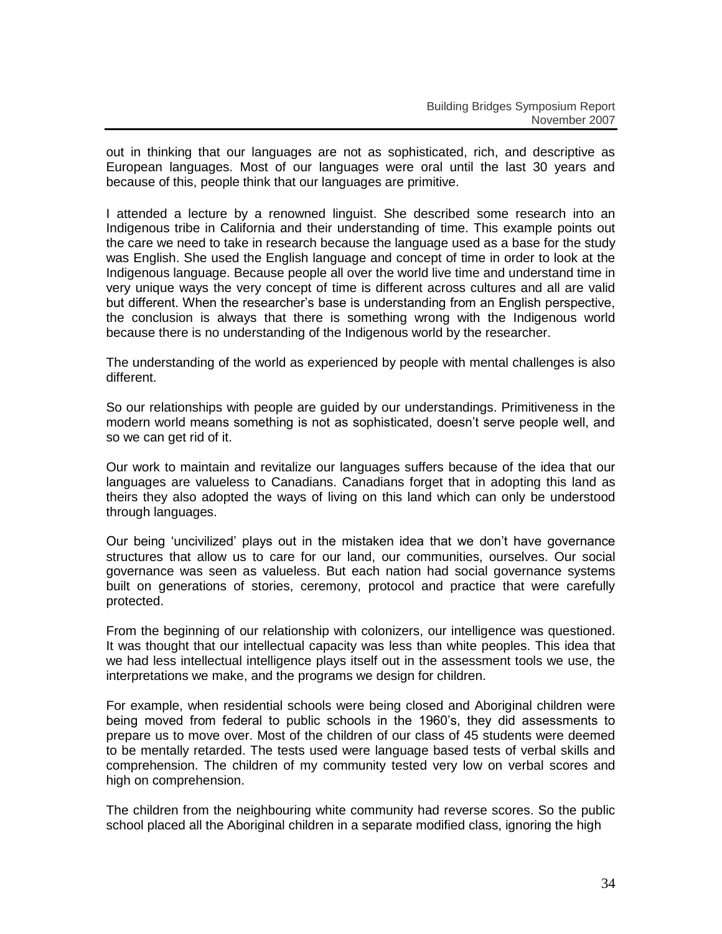out in thinking that our languages are not as sophisticated, rich, and descriptive as European languages. Most of our languages were oral until the last 30 years and because of this, people think that our languages are primitive.

I attended a lecture by a renowned linguist. She described some research into an Indigenous tribe in California and their understanding of time. This example points out the care we need to take in research because the language used as a base for the study was English. She used the English language and concept of time in order to look at the Indigenous language. Because people all over the world live time and understand time in very unique ways the very concept of time is different across cultures and all are valid but different. When the researcher"s base is understanding from an English perspective, the conclusion is always that there is something wrong with the Indigenous world because there is no understanding of the Indigenous world by the researcher.

The understanding of the world as experienced by people with mental challenges is also different.

So our relationships with people are guided by our understandings. Primitiveness in the modern world means something is not as sophisticated, doesn"t serve people well, and so we can get rid of it.

Our work to maintain and revitalize our languages suffers because of the idea that our languages are valueless to Canadians. Canadians forget that in adopting this land as theirs they also adopted the ways of living on this land which can only be understood through languages.

Our being "uncivilized" plays out in the mistaken idea that we don"t have governance structures that allow us to care for our land, our communities, ourselves. Our social governance was seen as valueless. But each nation had social governance systems built on generations of stories, ceremony, protocol and practice that were carefully protected.

From the beginning of our relationship with colonizers, our intelligence was questioned. It was thought that our intellectual capacity was less than white peoples. This idea that we had less intellectual intelligence plays itself out in the assessment tools we use, the interpretations we make, and the programs we design for children.

For example, when residential schools were being closed and Aboriginal children were being moved from federal to public schools in the 1960"s, they did assessments to prepare us to move over. Most of the children of our class of 45 students were deemed to be mentally retarded. The tests used were language based tests of verbal skills and comprehension. The children of my community tested very low on verbal scores and high on comprehension.

The children from the neighbouring white community had reverse scores. So the public school placed all the Aboriginal children in a separate modified class, ignoring the high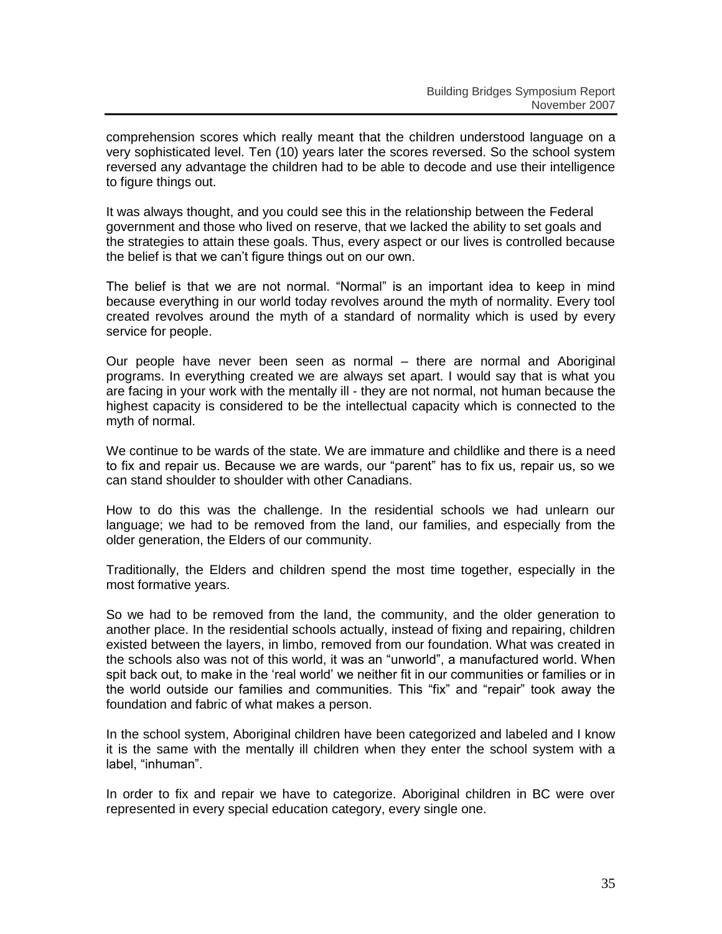comprehension scores which really meant that the children understood language on a very sophisticated level. Ten (10) years later the scores reversed. So the school system reversed any advantage the children had to be able to decode and use their intelligence to figure things out.

It was always thought, and you could see this in the relationship between the Federal government and those who lived on reserve, that we lacked the ability to set goals and the strategies to attain these goals. Thus, every aspect or our lives is controlled because the belief is that we can"t figure things out on our own.

The belief is that we are not normal. "Normal" is an important idea to keep in mind because everything in our world today revolves around the myth of normality. Every tool created revolves around the myth of a standard of normality which is used by every service for people.

Our people have never been seen as normal – there are normal and Aboriginal programs. In everything created we are always set apart. I would say that is what you are facing in your work with the mentally ill - they are not normal, not human because the highest capacity is considered to be the intellectual capacity which is connected to the myth of normal.

We continue to be wards of the state. We are immature and childlike and there is a need to fix and repair us. Because we are wards, our "parent" has to fix us, repair us, so we can stand shoulder to shoulder with other Canadians.

How to do this was the challenge. In the residential schools we had unlearn our language; we had to be removed from the land, our families, and especially from the older generation, the Elders of our community.

Traditionally, the Elders and children spend the most time together, especially in the most formative years.

So we had to be removed from the land, the community, and the older generation to another place. In the residential schools actually, instead of fixing and repairing, children existed between the layers, in limbo, removed from our foundation. What was created in the schools also was not of this world, it was an "unworld", a manufactured world. When spit back out, to make in the "real world" we neither fit in our communities or families or in the world outside our families and communities. This "fix" and "repair" took away the foundation and fabric of what makes a person.

In the school system, Aboriginal children have been categorized and labeled and I know it is the same with the mentally ill children when they enter the school system with a label, "inhuman".

In order to fix and repair we have to categorize. Aboriginal children in BC were over represented in every special education category, every single one.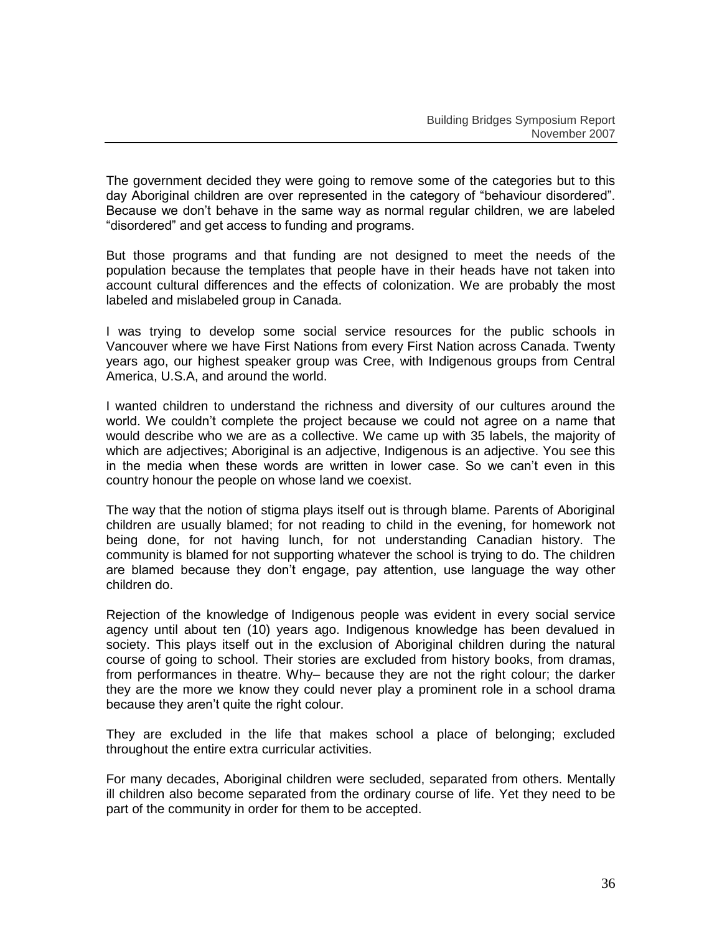The government decided they were going to remove some of the categories but to this day Aboriginal children are over represented in the category of "behaviour disordered". Because we don"t behave in the same way as normal regular children, we are labeled "disordered" and get access to funding and programs.

But those programs and that funding are not designed to meet the needs of the population because the templates that people have in their heads have not taken into account cultural differences and the effects of colonization. We are probably the most labeled and mislabeled group in Canada.

I was trying to develop some social service resources for the public schools in Vancouver where we have First Nations from every First Nation across Canada. Twenty years ago, our highest speaker group was Cree, with Indigenous groups from Central America, U.S.A, and around the world.

I wanted children to understand the richness and diversity of our cultures around the world. We couldn"t complete the project because we could not agree on a name that would describe who we are as a collective. We came up with 35 labels, the majority of which are adjectives; Aboriginal is an adjective, Indigenous is an adjective. You see this in the media when these words are written in lower case. So we can"t even in this country honour the people on whose land we coexist.

The way that the notion of stigma plays itself out is through blame. Parents of Aboriginal children are usually blamed; for not reading to child in the evening, for homework not being done, for not having lunch, for not understanding Canadian history. The community is blamed for not supporting whatever the school is trying to do. The children are blamed because they don"t engage, pay attention, use language the way other children do.

Rejection of the knowledge of Indigenous people was evident in every social service agency until about ten (10) years ago. Indigenous knowledge has been devalued in society. This plays itself out in the exclusion of Aboriginal children during the natural course of going to school. Their stories are excluded from history books, from dramas, from performances in theatre. Why– because they are not the right colour; the darker they are the more we know they could never play a prominent role in a school drama because they aren"t quite the right colour.

They are excluded in the life that makes school a place of belonging; excluded throughout the entire extra curricular activities.

For many decades, Aboriginal children were secluded, separated from others. Mentally ill children also become separated from the ordinary course of life. Yet they need to be part of the community in order for them to be accepted.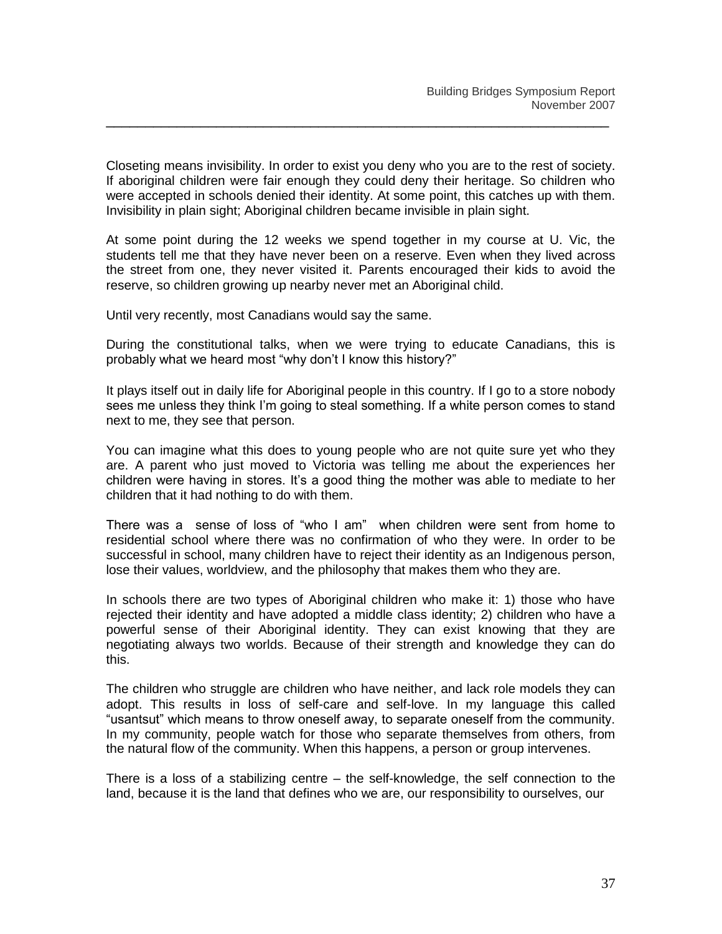Closeting means invisibility. In order to exist you deny who you are to the rest of society. If aboriginal children were fair enough they could deny their heritage. So children who were accepted in schools denied their identity. At some point, this catches up with them. Invisibility in plain sight; Aboriginal children became invisible in plain sight.

\_\_\_\_\_\_\_\_\_\_\_\_\_\_\_\_\_\_\_\_\_\_\_\_\_\_\_\_\_\_\_\_\_\_\_\_\_\_\_\_\_\_\_\_\_\_\_\_\_\_\_\_\_\_\_\_\_\_\_\_\_\_\_\_

At some point during the 12 weeks we spend together in my course at U. Vic, the students tell me that they have never been on a reserve. Even when they lived across the street from one, they never visited it. Parents encouraged their kids to avoid the reserve, so children growing up nearby never met an Aboriginal child.

Until very recently, most Canadians would say the same.

During the constitutional talks, when we were trying to educate Canadians, this is probably what we heard most "why don"t I know this history?"

It plays itself out in daily life for Aboriginal people in this country. If I go to a store nobody sees me unless they think I"m going to steal something. If a white person comes to stand next to me, they see that person.

You can imagine what this does to young people who are not quite sure yet who they are. A parent who just moved to Victoria was telling me about the experiences her children were having in stores. It's a good thing the mother was able to mediate to her children that it had nothing to do with them.

There was a sense of loss of "who I am" when children were sent from home to residential school where there was no confirmation of who they were. In order to be successful in school, many children have to reject their identity as an Indigenous person, lose their values, worldview, and the philosophy that makes them who they are.

In schools there are two types of Aboriginal children who make it: 1) those who have rejected their identity and have adopted a middle class identity; 2) children who have a powerful sense of their Aboriginal identity. They can exist knowing that they are negotiating always two worlds. Because of their strength and knowledge they can do this.

The children who struggle are children who have neither, and lack role models they can adopt. This results in loss of self-care and self-love. In my language this called "usantsut" which means to throw oneself away, to separate oneself from the community. In my community, people watch for those who separate themselves from others, from the natural flow of the community. When this happens, a person or group intervenes.

There is a loss of a stabilizing centre – the self-knowledge, the self connection to the land, because it is the land that defines who we are, our responsibility to ourselves, our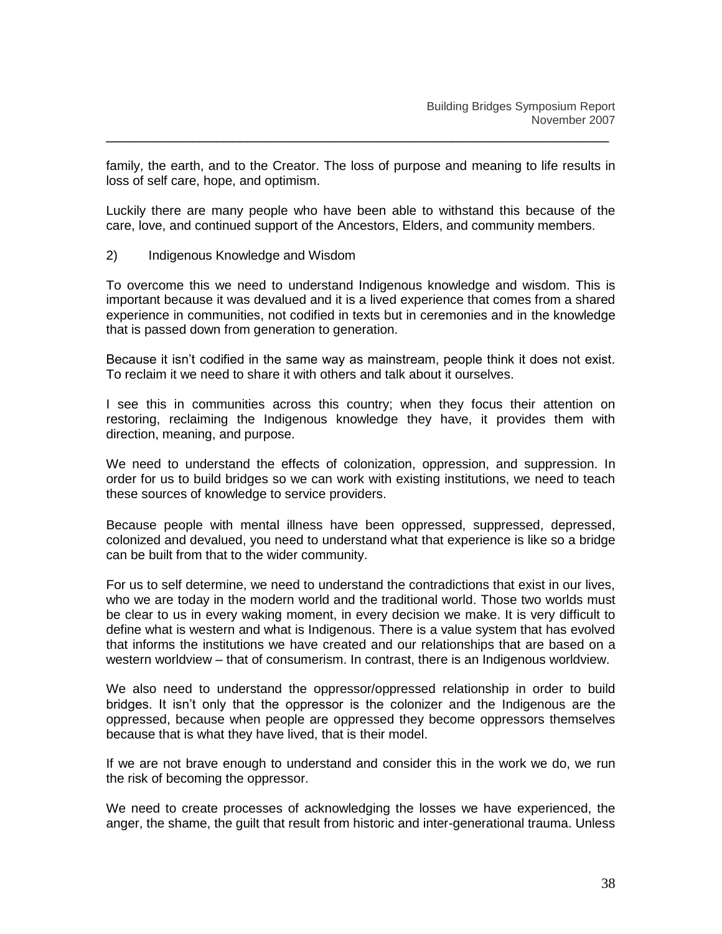family, the earth, and to the Creator. The loss of purpose and meaning to life results in loss of self care, hope, and optimism.

\_\_\_\_\_\_\_\_\_\_\_\_\_\_\_\_\_\_\_\_\_\_\_\_\_\_\_\_\_\_\_\_\_\_\_\_\_\_\_\_\_\_\_\_\_\_\_\_\_\_\_\_\_\_\_\_\_\_\_\_\_\_\_\_

Luckily there are many people who have been able to withstand this because of the care, love, and continued support of the Ancestors, Elders, and community members.

2) Indigenous Knowledge and Wisdom

To overcome this we need to understand Indigenous knowledge and wisdom. This is important because it was devalued and it is a lived experience that comes from a shared experience in communities, not codified in texts but in ceremonies and in the knowledge that is passed down from generation to generation.

Because it isn"t codified in the same way as mainstream, people think it does not exist. To reclaim it we need to share it with others and talk about it ourselves.

I see this in communities across this country; when they focus their attention on restoring, reclaiming the Indigenous knowledge they have, it provides them with direction, meaning, and purpose.

We need to understand the effects of colonization, oppression, and suppression. In order for us to build bridges so we can work with existing institutions, we need to teach these sources of knowledge to service providers.

Because people with mental illness have been oppressed, suppressed, depressed, colonized and devalued, you need to understand what that experience is like so a bridge can be built from that to the wider community.

For us to self determine, we need to understand the contradictions that exist in our lives, who we are today in the modern world and the traditional world. Those two worlds must be clear to us in every waking moment, in every decision we make. It is very difficult to define what is western and what is Indigenous. There is a value system that has evolved that informs the institutions we have created and our relationships that are based on a western worldview – that of consumerism. In contrast, there is an Indigenous worldview.

We also need to understand the oppressor/oppressed relationship in order to build bridges. It isn"t only that the oppressor is the colonizer and the Indigenous are the oppressed, because when people are oppressed they become oppressors themselves because that is what they have lived, that is their model.

If we are not brave enough to understand and consider this in the work we do, we run the risk of becoming the oppressor.

We need to create processes of acknowledging the losses we have experienced, the anger, the shame, the guilt that result from historic and inter-generational trauma. Unless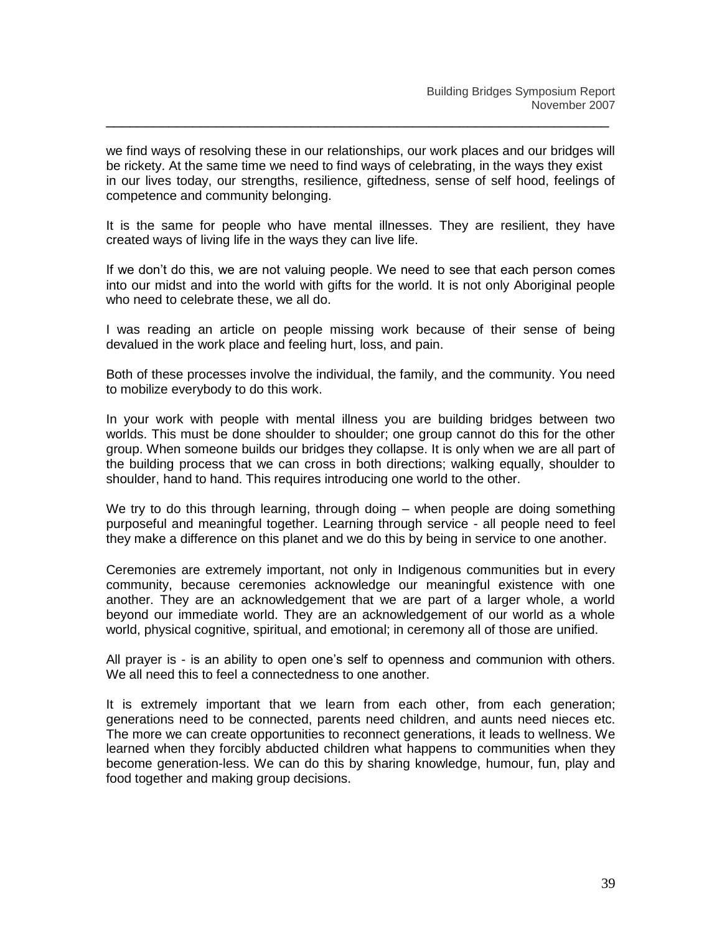we find ways of resolving these in our relationships, our work places and our bridges will be rickety. At the same time we need to find ways of celebrating, in the ways they exist in our lives today, our strengths, resilience, giftedness, sense of self hood, feelings of competence and community belonging.

\_\_\_\_\_\_\_\_\_\_\_\_\_\_\_\_\_\_\_\_\_\_\_\_\_\_\_\_\_\_\_\_\_\_\_\_\_\_\_\_\_\_\_\_\_\_\_\_\_\_\_\_\_\_\_\_\_\_\_\_\_\_\_\_

It is the same for people who have mental illnesses. They are resilient, they have created ways of living life in the ways they can live life.

If we don"t do this, we are not valuing people. We need to see that each person comes into our midst and into the world with gifts for the world. It is not only Aboriginal people who need to celebrate these, we all do.

I was reading an article on people missing work because of their sense of being devalued in the work place and feeling hurt, loss, and pain.

Both of these processes involve the individual, the family, and the community. You need to mobilize everybody to do this work.

In your work with people with mental illness you are building bridges between two worlds. This must be done shoulder to shoulder; one group cannot do this for the other group. When someone builds our bridges they collapse. It is only when we are all part of the building process that we can cross in both directions; walking equally, shoulder to shoulder, hand to hand. This requires introducing one world to the other.

We try to do this through learning, through doing – when people are doing something purposeful and meaningful together. Learning through service - all people need to feel they make a difference on this planet and we do this by being in service to one another.

Ceremonies are extremely important, not only in Indigenous communities but in every community, because ceremonies acknowledge our meaningful existence with one another. They are an acknowledgement that we are part of a larger whole, a world beyond our immediate world. They are an acknowledgement of our world as a whole world, physical cognitive, spiritual, and emotional; in ceremony all of those are unified.

All prayer is - is an ability to open one"s self to openness and communion with others. We all need this to feel a connectedness to one another.

It is extremely important that we learn from each other, from each generation; generations need to be connected, parents need children, and aunts need nieces etc. The more we can create opportunities to reconnect generations, it leads to wellness. We learned when they forcibly abducted children what happens to communities when they become generation-less. We can do this by sharing knowledge, humour, fun, play and food together and making group decisions.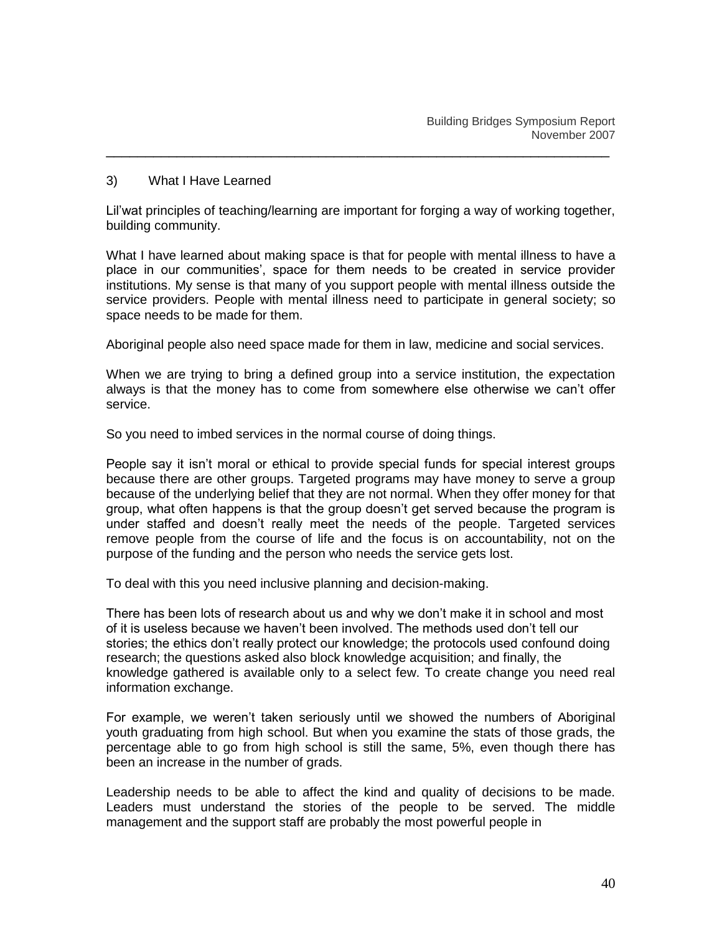#### 3) What I Have Learned

Lil"wat principles of teaching/learning are important for forging a way of working together, building community.

\_\_\_\_\_\_\_\_\_\_\_\_\_\_\_\_\_\_\_\_\_\_\_\_\_\_\_\_\_\_\_\_\_\_\_\_\_\_\_\_\_\_\_\_\_\_\_\_\_\_\_\_\_\_\_\_\_\_\_\_\_\_\_\_

What I have learned about making space is that for people with mental illness to have a place in our communities", space for them needs to be created in service provider institutions. My sense is that many of you support people with mental illness outside the service providers. People with mental illness need to participate in general society; so space needs to be made for them.

Aboriginal people also need space made for them in law, medicine and social services.

When we are trying to bring a defined group into a service institution, the expectation always is that the money has to come from somewhere else otherwise we can"t offer service.

So you need to imbed services in the normal course of doing things.

People say it isn"t moral or ethical to provide special funds for special interest groups because there are other groups. Targeted programs may have money to serve a group because of the underlying belief that they are not normal. When they offer money for that group, what often happens is that the group doesn"t get served because the program is under staffed and doesn"t really meet the needs of the people. Targeted services remove people from the course of life and the focus is on accountability, not on the purpose of the funding and the person who needs the service gets lost.

To deal with this you need inclusive planning and decision-making.

There has been lots of research about us and why we don"t make it in school and most of it is useless because we haven"t been involved. The methods used don"t tell our stories; the ethics don"t really protect our knowledge; the protocols used confound doing research; the questions asked also block knowledge acquisition; and finally, the knowledge gathered is available only to a select few. To create change you need real information exchange.

For example, we weren"t taken seriously until we showed the numbers of Aboriginal youth graduating from high school. But when you examine the stats of those grads, the percentage able to go from high school is still the same, 5%, even though there has been an increase in the number of grads.

Leadership needs to be able to affect the kind and quality of decisions to be made. Leaders must understand the stories of the people to be served. The middle management and the support staff are probably the most powerful people in